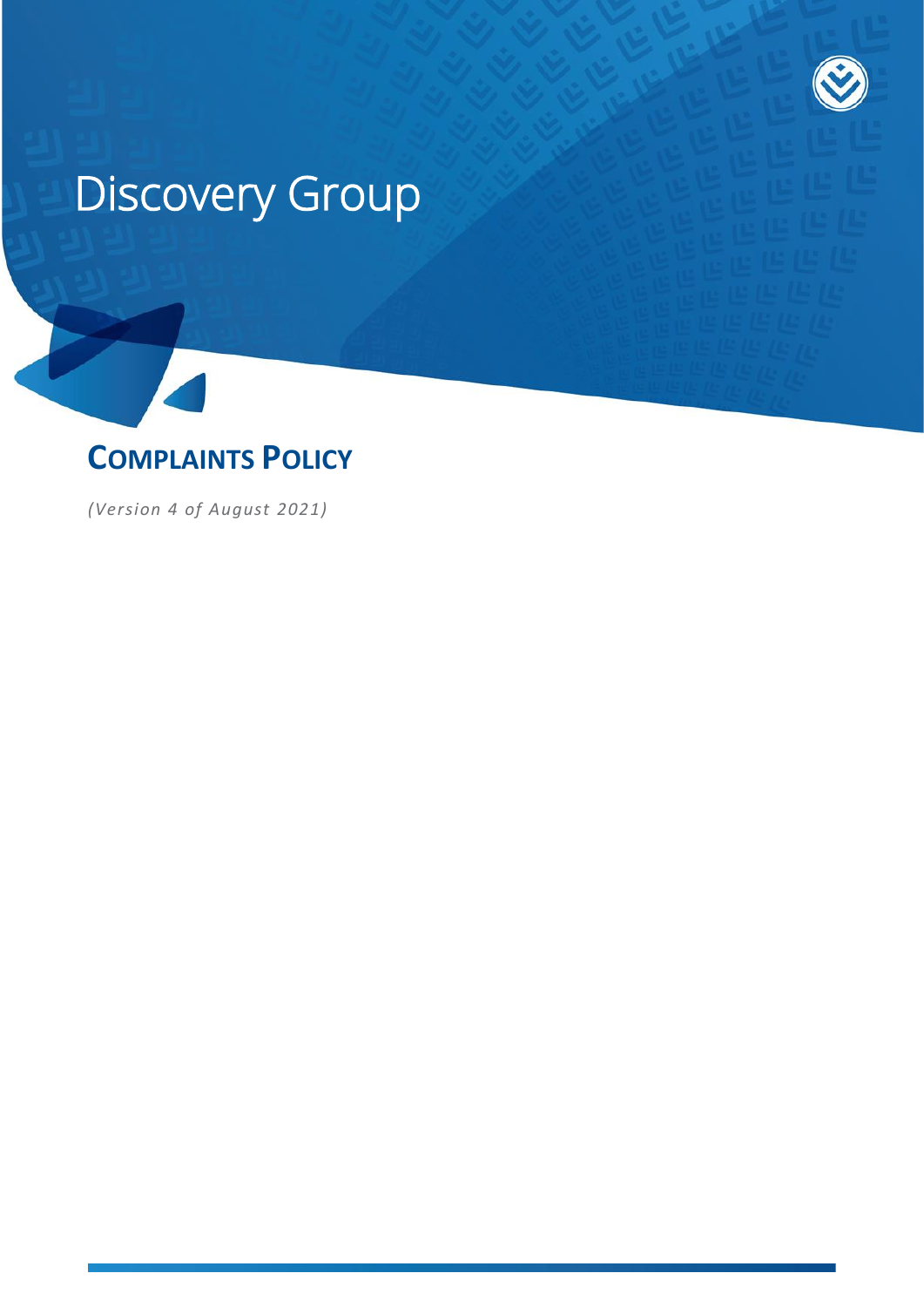# Discovery Group



*(Version 4 of August 2021)*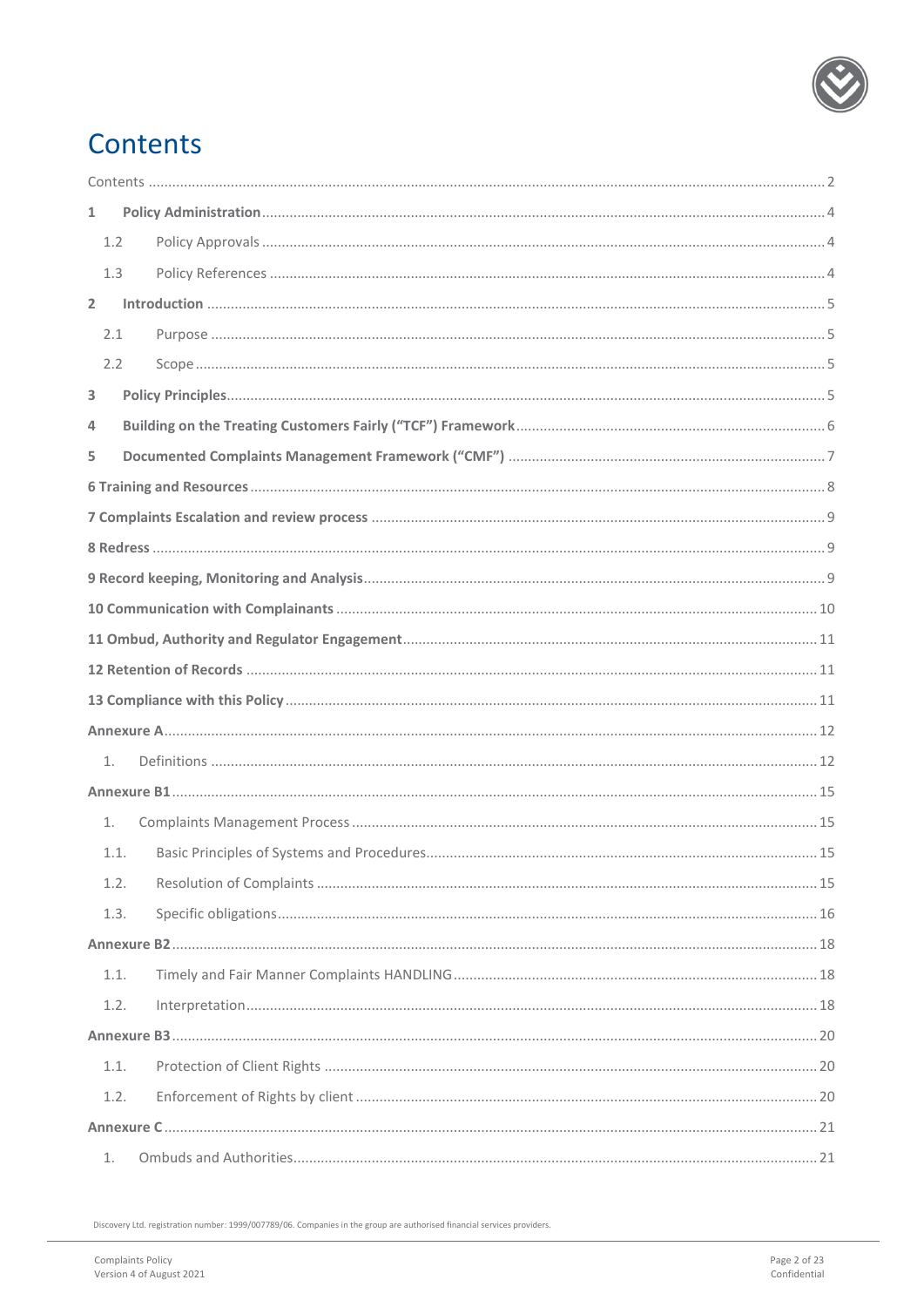

# <span id="page-1-0"></span>Contents

| $\mathbf{1}$ |  |  |  |
|--------------|--|--|--|
| 1.2          |  |  |  |
| 1.3          |  |  |  |
| $\mathbf{2}$ |  |  |  |
| 2.1          |  |  |  |
| 2.2          |  |  |  |
| 3            |  |  |  |
| 4            |  |  |  |
| 5            |  |  |  |
|              |  |  |  |
|              |  |  |  |
|              |  |  |  |
|              |  |  |  |
|              |  |  |  |
|              |  |  |  |
|              |  |  |  |
|              |  |  |  |
|              |  |  |  |
| 1.           |  |  |  |
|              |  |  |  |
| 1.           |  |  |  |
| 1.1.         |  |  |  |
| 1.2.         |  |  |  |
| 1.3.         |  |  |  |
|              |  |  |  |
| 1.1.         |  |  |  |
| 1.2.         |  |  |  |
|              |  |  |  |
| 1.1.         |  |  |  |
| 1.2.         |  |  |  |
|              |  |  |  |
| 1.           |  |  |  |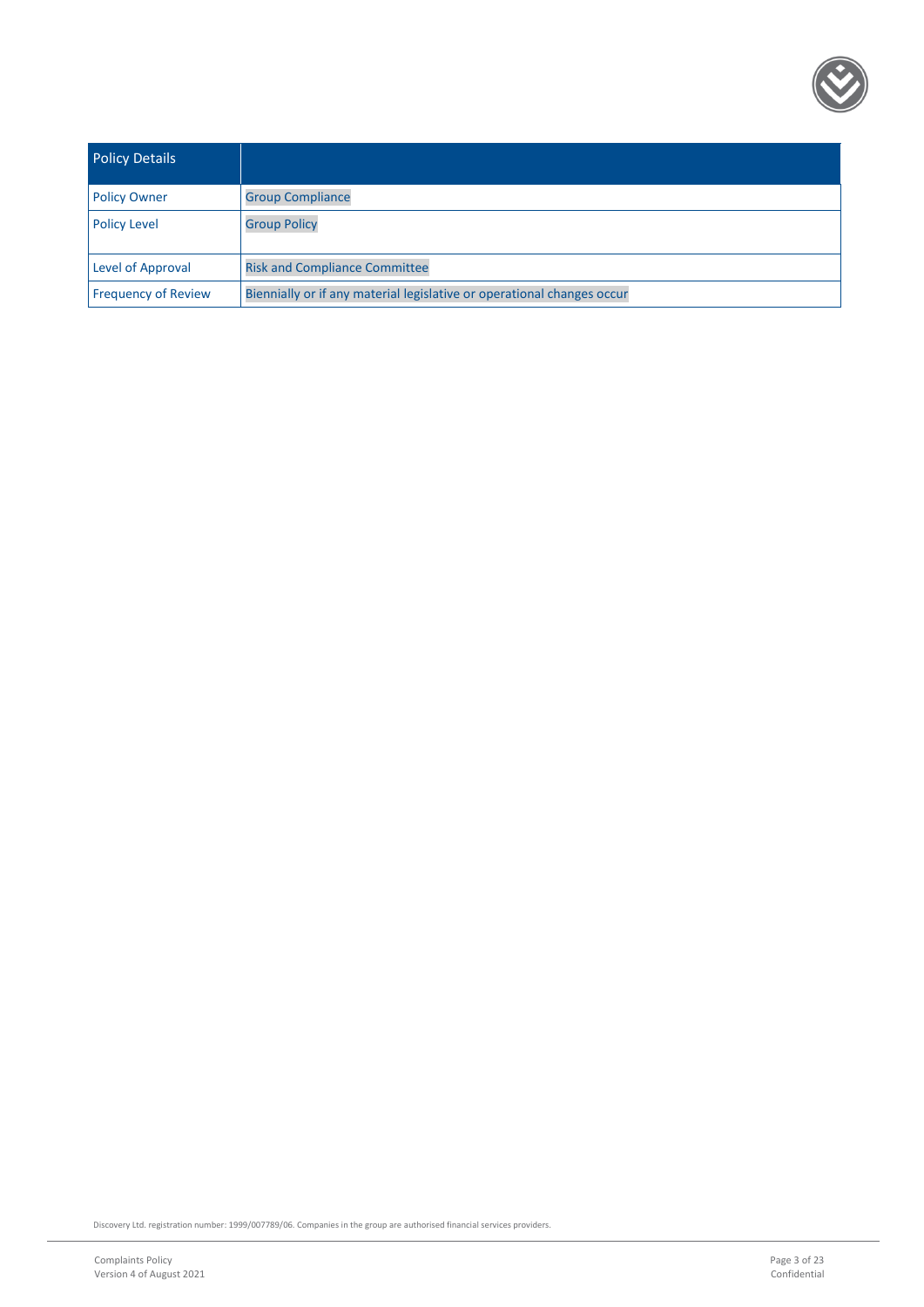

| <b>Policy Details</b>      |                                                                        |
|----------------------------|------------------------------------------------------------------------|
| <b>Policy Owner</b>        | <b>Group Compliance</b>                                                |
| <b>Policy Level</b>        | <b>Group Policy</b>                                                    |
| Level of Approval          | <b>Risk and Compliance Committee</b>                                   |
| <b>Frequency of Review</b> | Biennially or if any material legislative or operational changes occur |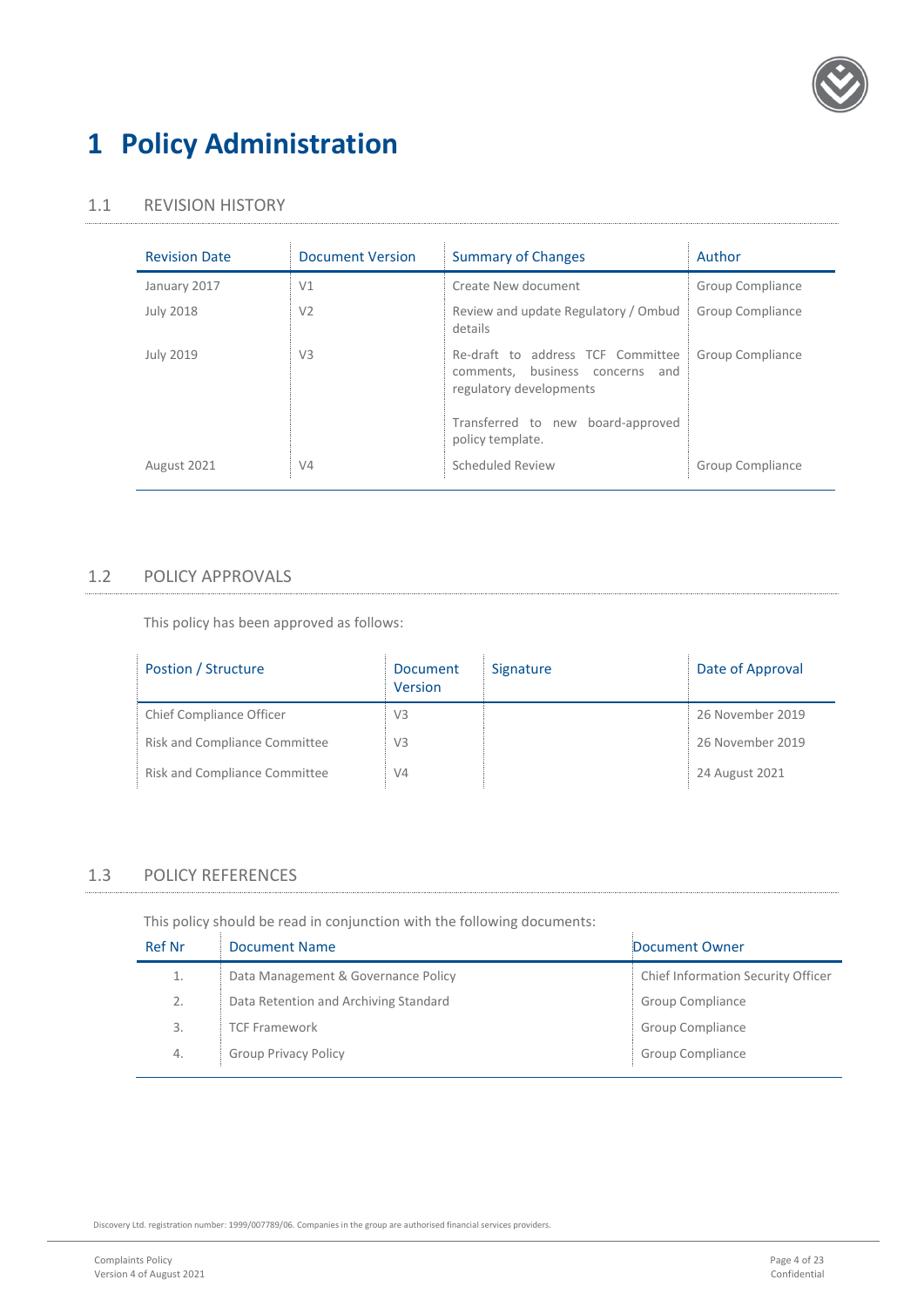

### <span id="page-3-0"></span>**1 Policy Administration**

#### 1.1 REVISION HISTORY

| <b>Revision Date</b> | <b>Document Version</b> | <b>Summary of Changes</b>                                                                       | Author           |
|----------------------|-------------------------|-------------------------------------------------------------------------------------------------|------------------|
| January 2017         | V1                      | Create New document                                                                             | Group Compliance |
| <b>July 2018</b>     | V <sub>2</sub>          | Review and update Regulatory / Ombud<br>details                                                 | Group Compliance |
| <b>July 2019</b>     | V <sub>3</sub>          | Re-draft to address TCF Committee<br>comments, business concerns and<br>regulatory developments | Group Compliance |
|                      |                         | Transferred to new board-approved<br>policy template.                                           |                  |
| August 2021          | V <sub>4</sub>          | Scheduled Review                                                                                | Group Compliance |

#### <span id="page-3-1"></span>1.2 POLICY APPROVALS

This policy has been approved as follows:

| Postion / Structure           | Document<br>Version | Signature | Date of Approval |
|-------------------------------|---------------------|-----------|------------------|
| Chief Compliance Officer      | V <sub>3</sub>      |           | 26 November 2019 |
| Risk and Compliance Committee | V <sub>3</sub>      |           | 26 November 2019 |
| Risk and Compliance Committee | V <sub>4</sub>      |           | 24 August 2021   |

### <span id="page-3-2"></span>1.3 POLICY REFERENCES

This policy should be read in conjunction with the following documents:

| <b>Ref Nr</b> | Document Name                         | Document Owner                     |
|---------------|---------------------------------------|------------------------------------|
| 1.            | Data Management & Governance Policy   | Chief Information Security Officer |
| 2.            | Data Retention and Archiving Standard | Group Compliance                   |
| 3.            | <b>TCF Framework</b>                  | Group Compliance                   |
| 4.            | <b>Group Privacy Policy</b>           | Group Compliance                   |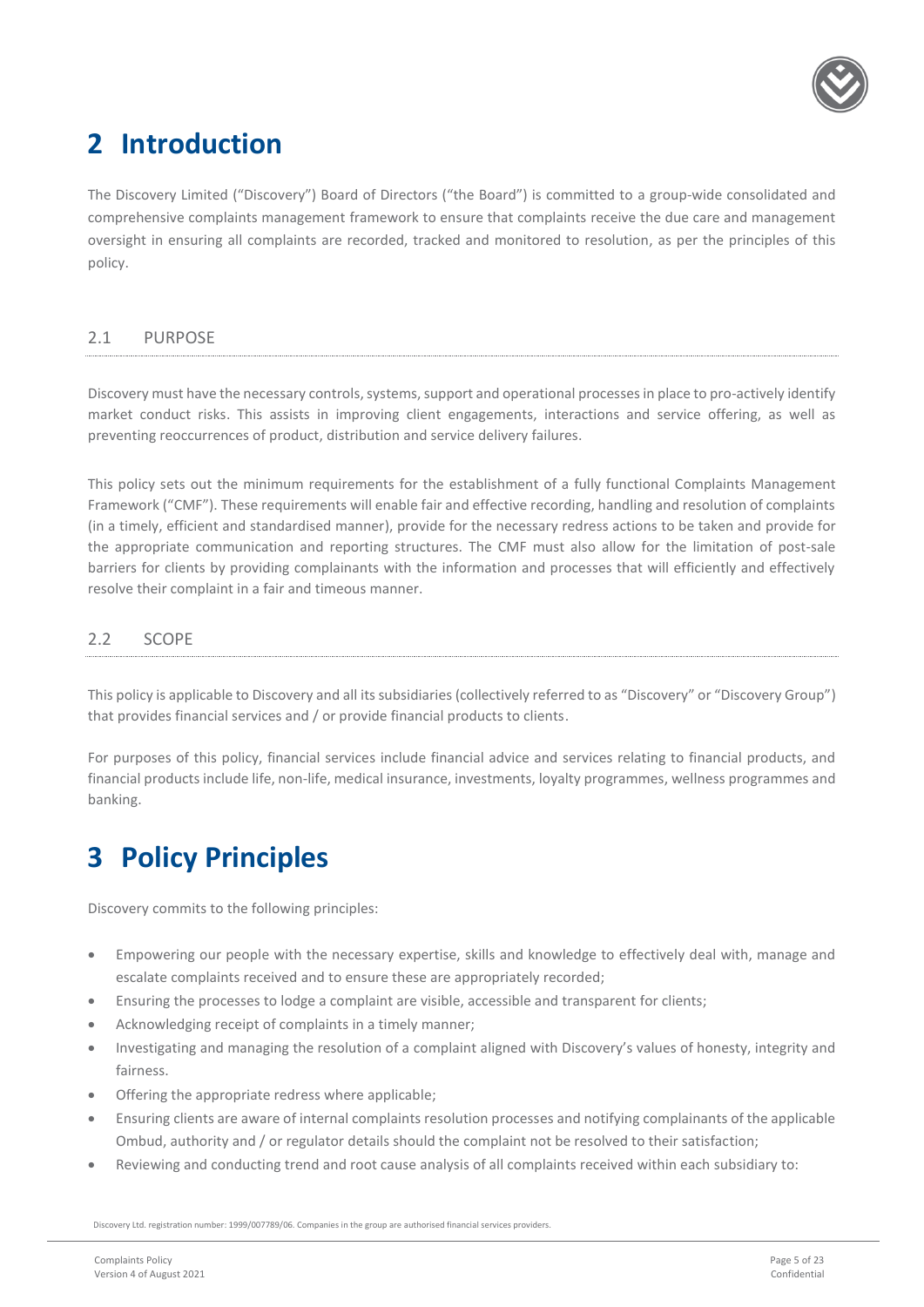

# <span id="page-4-0"></span>**2 Introduction**

The Discovery Limited ("Discovery") Board of Directors ("the Board") is committed to a group-wide consolidated and comprehensive complaints management framework to ensure that complaints receive the due care and management oversight in ensuring all complaints are recorded, tracked and monitored to resolution, as per the principles of this policy.

#### <span id="page-4-1"></span>2.1 PURPOSE

Discovery must have the necessary controls, systems, support and operational processes in place to pro-actively identify market conduct risks. This assists in improving client engagements, interactions and service offering, as well as preventing reoccurrences of product, distribution and service delivery failures.

This policy sets out the minimum requirements for the establishment of a fully functional Complaints Management Framework ("CMF"). These requirements will enable fair and effective recording, handling and resolution of complaints (in a timely, efficient and standardised manner), provide for the necessary redress actions to be taken and provide for the appropriate communication and reporting structures. The CMF must also allow for the limitation of post-sale barriers for clients by providing complainants with the information and processes that will efficiently and effectively resolve their complaint in a fair and timeous manner.

#### <span id="page-4-2"></span>2.2 SCOPE

This policy is applicable to Discovery and all its subsidiaries (collectively referred to as "Discovery" or "Discovery Group") that provides financial services and / or provide financial products to clients.

For purposes of this policy, financial services include financial advice and services relating to financial products, and financial products include life, non-life, medical insurance, investments, loyalty programmes, wellness programmes and banking.

### <span id="page-4-3"></span>**3 Policy Principles**

Discovery commits to the following principles:

- Empowering our people with the necessary expertise, skills and knowledge to effectively deal with, manage and escalate complaints received and to ensure these are appropriately recorded;
- Ensuring the processes to lodge a complaint are visible, accessible and transparent for clients;
- Acknowledging receipt of complaints in a timely manner;
- Investigating and managing the resolution of a complaint aligned with Discovery's values of honesty, integrity and fairness.
- Offering the appropriate redress where applicable;
- Ensuring clients are aware of internal complaints resolution processes and notifying complainants of the applicable Ombud, authority and / or regulator details should the complaint not be resolved to their satisfaction;
- Reviewing and conducting trend and root cause analysis of all complaints received within each subsidiary to: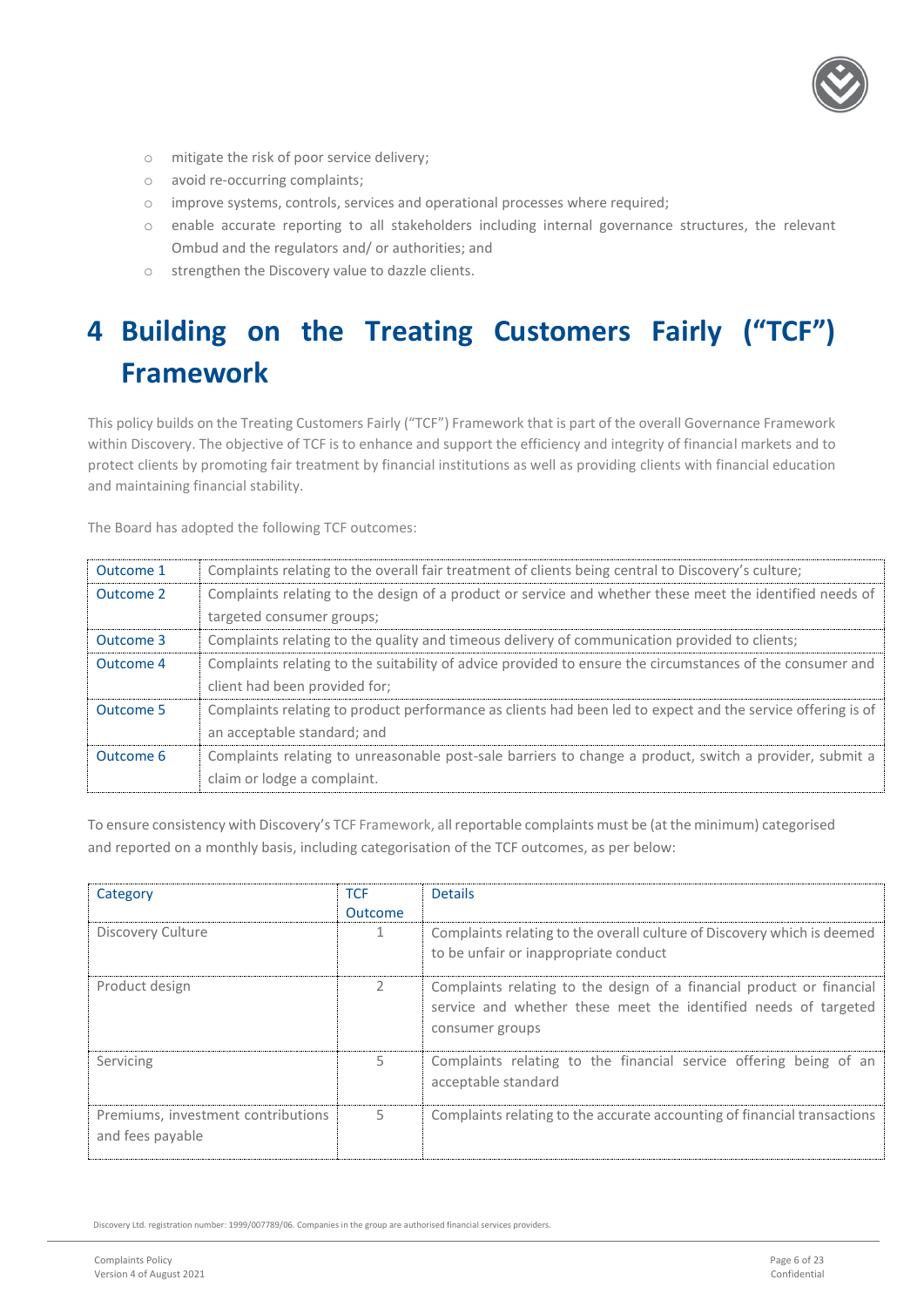

- o mitigate the risk of poor service delivery;
- o avoid re-occurring complaints;
- o improve systems, controls, services and operational processes where required;
- o enable accurate reporting to all stakeholders including internal governance structures, the relevant Ombud and the regulators and/ or authorities; and
- o strengthen the Discovery value to dazzle clients.

# <span id="page-5-0"></span>**4 Building on the Treating Customers Fairly ("TCF") Framework**

This policy builds on the Treating Customers Fairly ("TCF") Framework that is part of the overall Governance Framework within Discovery. The objective of TCF is to enhance and support the efficiency and integrity of financial markets and to protect clients by promoting fair treatment by financial institutions as well as providing clients with financial education and maintaining financial stability.

The Board has adopted the following TCF outcomes:

| Outcome 1 | Complaints relating to the overall fair treatment of clients being central to Discovery's culture;          |
|-----------|-------------------------------------------------------------------------------------------------------------|
| Outcome 2 | Complaints relating to the design of a product or service and whether these meet the identified needs of    |
|           | targeted consumer groups;                                                                                   |
| Outcome 3 | Complaints relating to the quality and timeous delivery of communication provided to clients;               |
| Outcome 4 | Complaints relating to the suitability of advice provided to ensure the circumstances of the consumer and   |
|           | client had been provided for;                                                                               |
| Outcome 5 | Complaints relating to product performance as clients had been led to expect and the service offering is of |
|           | an acceptable standard; and                                                                                 |
| Outcome 6 | Complaints relating to unreasonable post-sale barriers to change a product, switch a provider, submit a     |
|           | claim or lodge a complaint.                                                                                 |

To ensure consistency with Discovery's TCF Framework, all reportable complaints must be (at the minimum) categorised and reported on a monthly basis, including categorisation of the TCF outcomes, as per below:

| Category                                               | <b>TCF</b><br><b>Outcome</b> | <b>Details</b>                                                                                                                                              |
|--------------------------------------------------------|------------------------------|-------------------------------------------------------------------------------------------------------------------------------------------------------------|
| Discovery Culture                                      |                              | Complaints relating to the overall culture of Discovery which is deemed<br>to be unfair or inappropriate conduct                                            |
| Product design                                         | $\mathcal{P}$                | Complaints relating to the design of a financial product or financial<br>service and whether these meet the identified needs of targeted<br>consumer groups |
| Servicing                                              | 5.                           | Complaints relating to the financial service offering being of an<br>acceptable standard                                                                    |
| Premiums, investment contributions<br>and fees payable | 5                            | Complaints relating to the accurate accounting of financial transactions                                                                                    |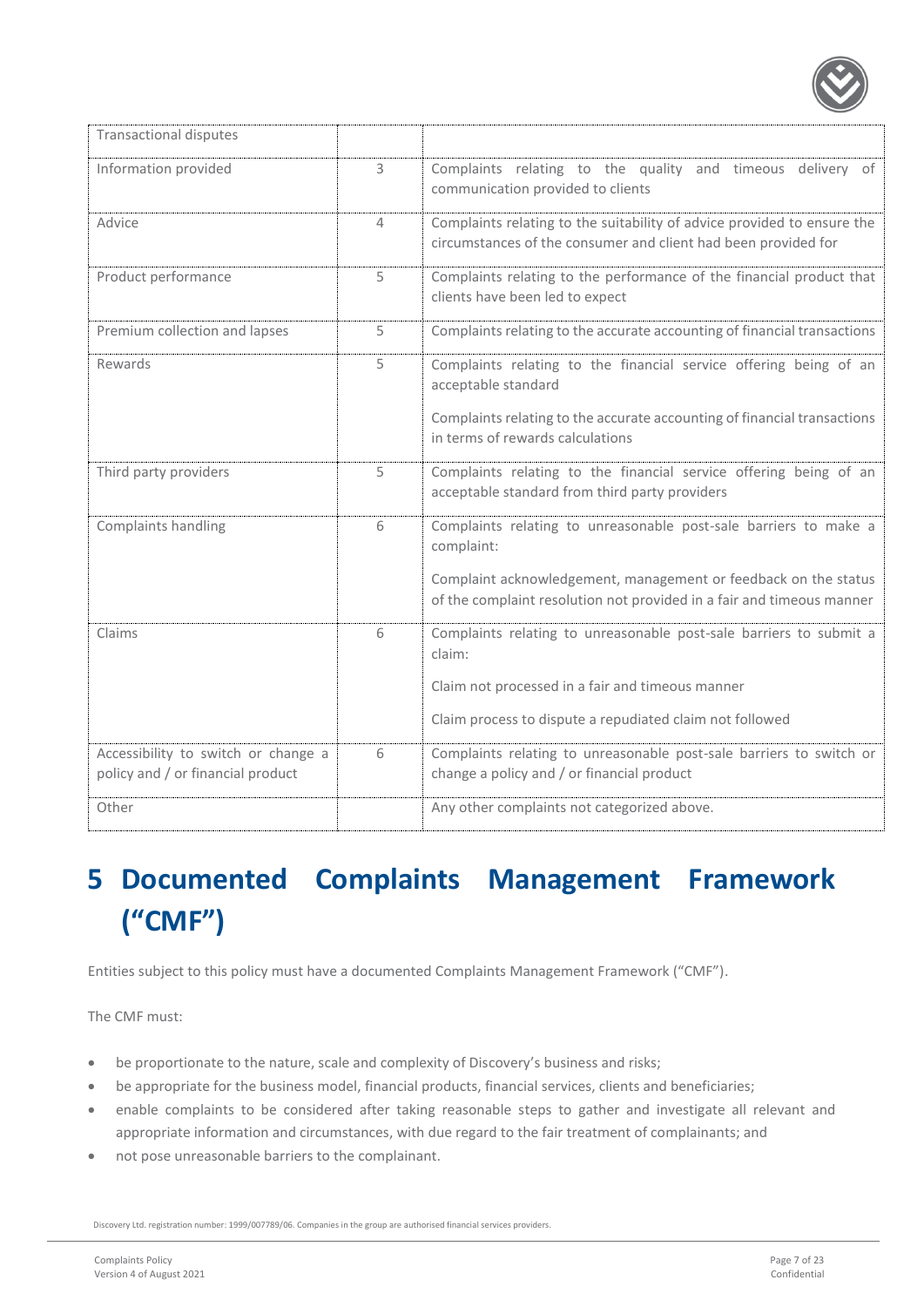

| <b>Transactional disputes</b>                                            |              |                                                                                                                                                                                                                            |
|--------------------------------------------------------------------------|--------------|----------------------------------------------------------------------------------------------------------------------------------------------------------------------------------------------------------------------------|
| Information provided                                                     | $\mathsf{3}$ | Complaints relating to the quality and timeous delivery of<br>communication provided to clients                                                                                                                            |
| Advice                                                                   | 4            | Complaints relating to the suitability of advice provided to ensure the<br>circumstances of the consumer and client had been provided for                                                                                  |
| Product performance                                                      | 5            | Complaints relating to the performance of the financial product that<br>clients have been led to expect                                                                                                                    |
| Premium collection and lapses                                            | 5            | Complaints relating to the accurate accounting of financial transactions                                                                                                                                                   |
| Rewards                                                                  | 5            | Complaints relating to the financial service offering being of an<br>acceptable standard<br>Complaints relating to the accurate accounting of financial transactions<br>in terms of rewards calculations                   |
| Third party providers                                                    | 5            | Complaints relating to the financial service offering being of an<br>acceptable standard from third party providers                                                                                                        |
| Complaints handling                                                      | 6            | Complaints relating to unreasonable post-sale barriers to make a<br>complaint:<br>Complaint acknowledgement, management or feedback on the status<br>of the complaint resolution not provided in a fair and timeous manner |
| Claims                                                                   | 6            | Complaints relating to unreasonable post-sale barriers to submit a<br>claim:<br>Claim not processed in a fair and timeous manner<br>Claim process to dispute a repudiated claim not followed                               |
| Accessibility to switch or change a<br>policy and / or financial product | 6            | Complaints relating to unreasonable post-sale barriers to switch or<br>change a policy and / or financial product                                                                                                          |
| Other                                                                    |              | Any other complaints not categorized above.                                                                                                                                                                                |

# <span id="page-6-0"></span>**5 Documented Complaints Management Framework ("CMF")**

Entities subject to this policy must have a documented Complaints Management Framework ("CMF").

The CMF must:

- be proportionate to the nature, scale and complexity of Discovery's business and risks;
- be appropriate for the business model, financial products, financial services, clients and beneficiaries;
- enable complaints to be considered after taking reasonable steps to gather and investigate all relevant and appropriate information and circumstances, with due regard to the fair treatment of complainants; and
- not pose unreasonable barriers to the complainant.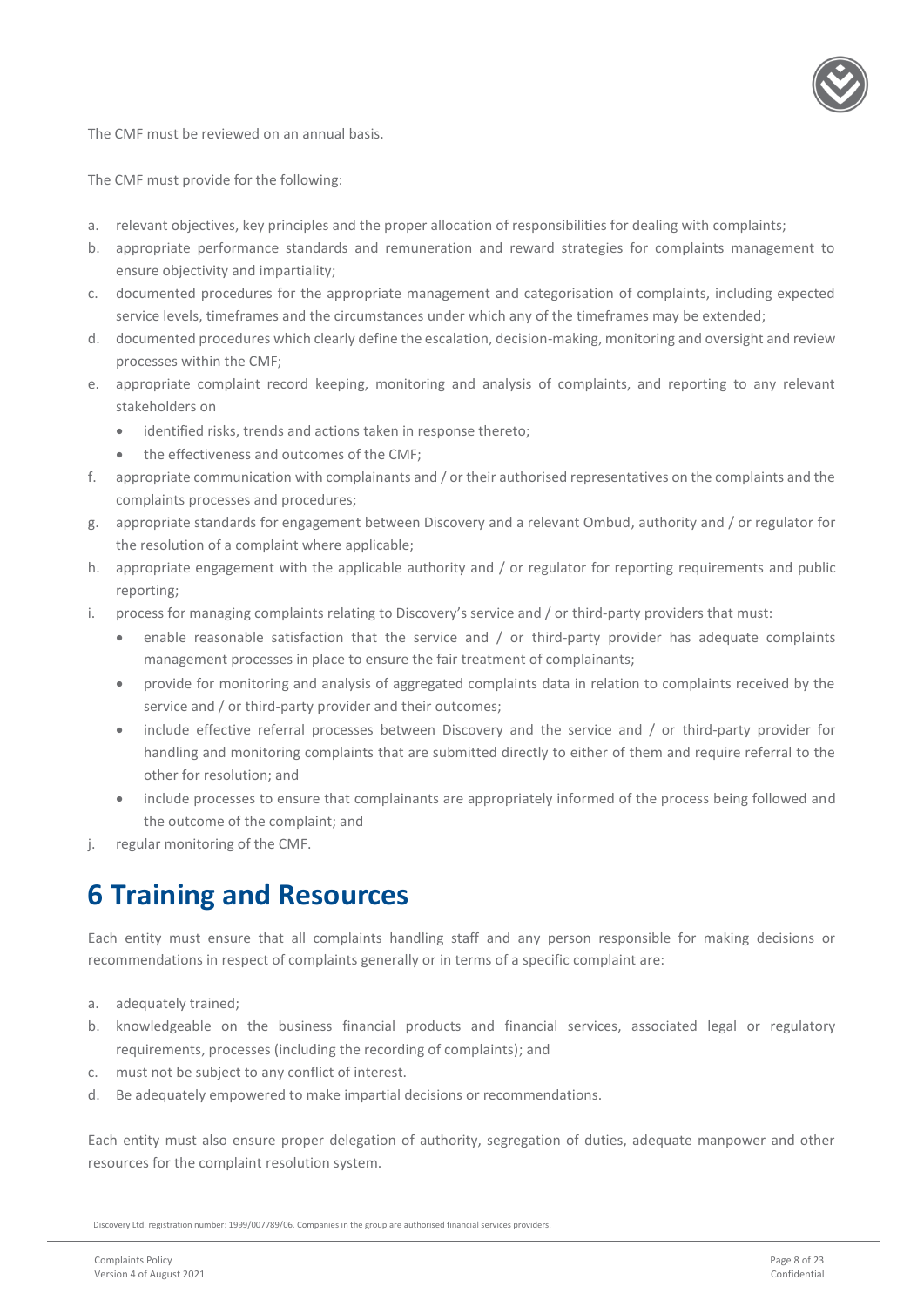

The CMF must be reviewed on an annual basis.

The CMF must provide for the following:

- a. relevant objectives, key principles and the proper allocation of responsibilities for dealing with complaints;
- b. appropriate performance standards and remuneration and reward strategies for complaints management to ensure objectivity and impartiality;
- c. documented procedures for the appropriate management and categorisation of complaints, including expected service levels, timeframes and the circumstances under which any of the timeframes may be extended;
- d. documented procedures which clearly define the escalation, decision-making, monitoring and oversight and review processes within the CMF;
- e. appropriate complaint record keeping, monitoring and analysis of complaints, and reporting to any relevant stakeholders on
	- identified risks, trends and actions taken in response thereto;
	- the effectiveness and outcomes of the CMF;
- f. appropriate communication with complainants and / or their authorised representatives on the complaints and the complaints processes and procedures;
- g. appropriate standards for engagement between Discovery and a relevant Ombud, authority and / or regulator for the resolution of a complaint where applicable;
- h. appropriate engagement with the applicable authority and / or regulator for reporting requirements and public reporting;
- i. process for managing complaints relating to Discovery's service and / or third-party providers that must:
	- enable reasonable satisfaction that the service and / or third-party provider has adequate complaints management processes in place to ensure the fair treatment of complainants;
	- provide for monitoring and analysis of aggregated complaints data in relation to complaints received by the service and / or third-party provider and their outcomes;
	- include effective referral processes between Discovery and the service and / or third-party provider for handling and monitoring complaints that are submitted directly to either of them and require referral to the other for resolution; and
	- include processes to ensure that complainants are appropriately informed of the process being followed and the outcome of the complaint; and
- <span id="page-7-0"></span>j. regular monitoring of the CMF.

### **6 Training and Resources**

Each entity must ensure that all complaints handling staff and any person responsible for making decisions or recommendations in respect of complaints generally or in terms of a specific complaint are:

- a. adequately trained;
- b. knowledgeable on the business financial products and financial services, associated legal or regulatory requirements, processes (including the recording of complaints); and
- c. must not be subject to any conflict of interest.
- d. Be adequately empowered to make impartial decisions or recommendations.

Each entity must also ensure proper delegation of authority, segregation of duties, adequate manpower and other resources for the complaint resolution system.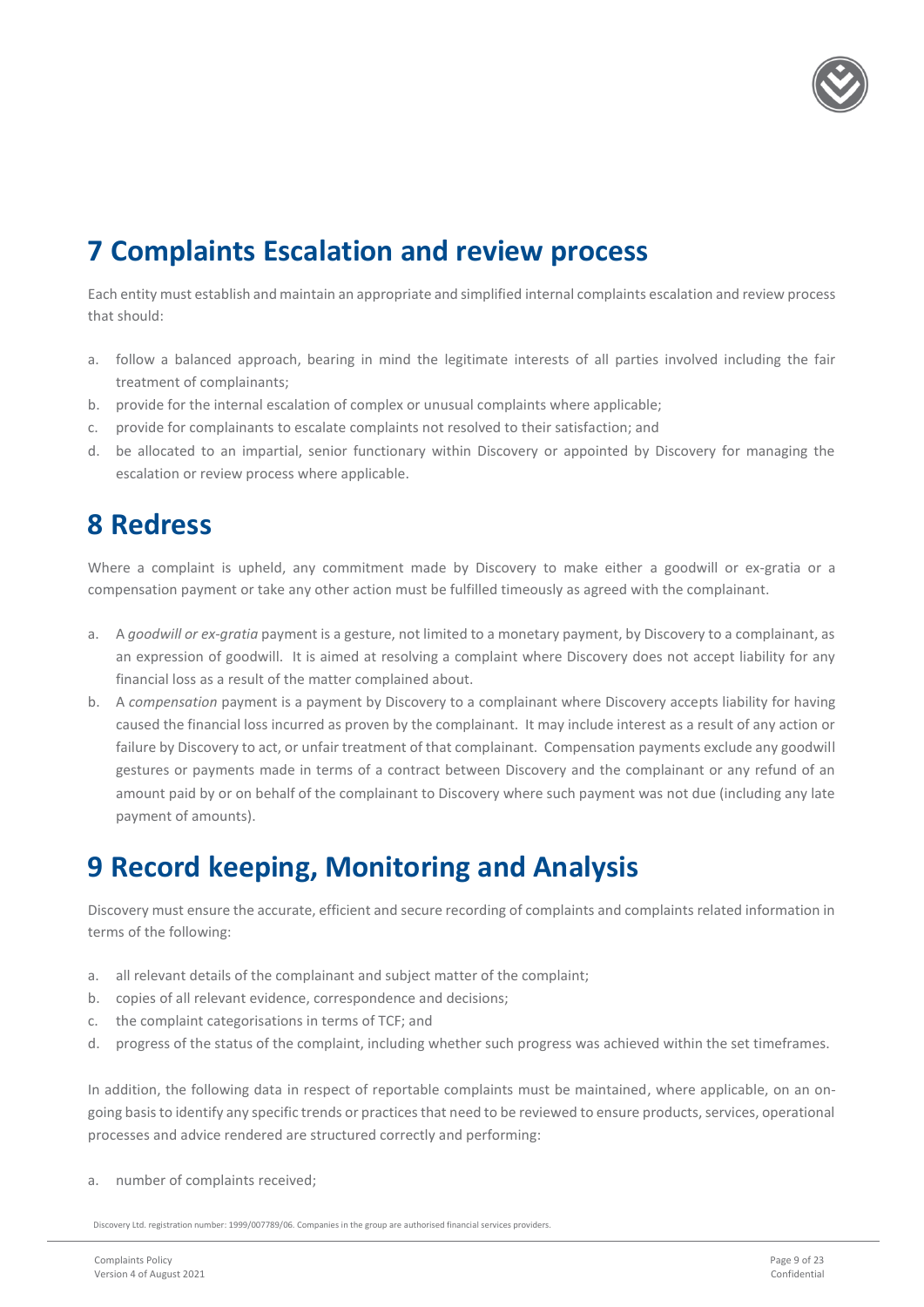

### <span id="page-8-0"></span>**7 Complaints Escalation and review process**

Each entity must establish and maintain an appropriate and simplified internal complaints escalation and review process that should:

- a. follow a balanced approach, bearing in mind the legitimate interests of all parties involved including the fair treatment of complainants;
- b. provide for the internal escalation of complex or unusual complaints where applicable;
- c. provide for complainants to escalate complaints not resolved to their satisfaction; and
- d. be allocated to an impartial, senior functionary within Discovery or appointed by Discovery for managing the escalation or review process where applicable.

### <span id="page-8-1"></span>**8 Redress**

Where a complaint is upheld, any commitment made by Discovery to make either a goodwill or ex-gratia or a compensation payment or take any other action must be fulfilled timeously as agreed with the complainant.

- a. A *goodwill or ex-gratia* payment is a gesture, not limited to a monetary payment, by Discovery to a complainant, as an expression of goodwill. It is aimed at resolving a complaint where Discovery does not accept liability for any financial loss as a result of the matter complained about.
- b. A *compensation* payment is a payment by Discovery to a complainant where Discovery accepts liability for having caused the financial loss incurred as proven by the complainant. It may include interest as a result of any action or failure by Discovery to act, or unfair treatment of that complainant. Compensation payments exclude any goodwill gestures or payments made in terms of a contract between Discovery and the complainant or any refund of an amount paid by or on behalf of the complainant to Discovery where such payment was not due (including any late payment of amounts).

### <span id="page-8-2"></span>**9 Record keeping, Monitoring and Analysis**

Discovery must ensure the accurate, efficient and secure recording of complaints and complaints related information in terms of the following:

- a. all relevant details of the complainant and subject matter of the complaint;
- b. copies of all relevant evidence, correspondence and decisions;
- c. the complaint categorisations in terms of TCF; and
- d. progress of the status of the complaint, including whether such progress was achieved within the set timeframes.

In addition, the following data in respect of reportable complaints must be maintained, where applicable, on an ongoing basis to identify any specific trends or practices that need to be reviewed to ensure products, services, operational processes and advice rendered are structured correctly and performing:

a. number of complaints received;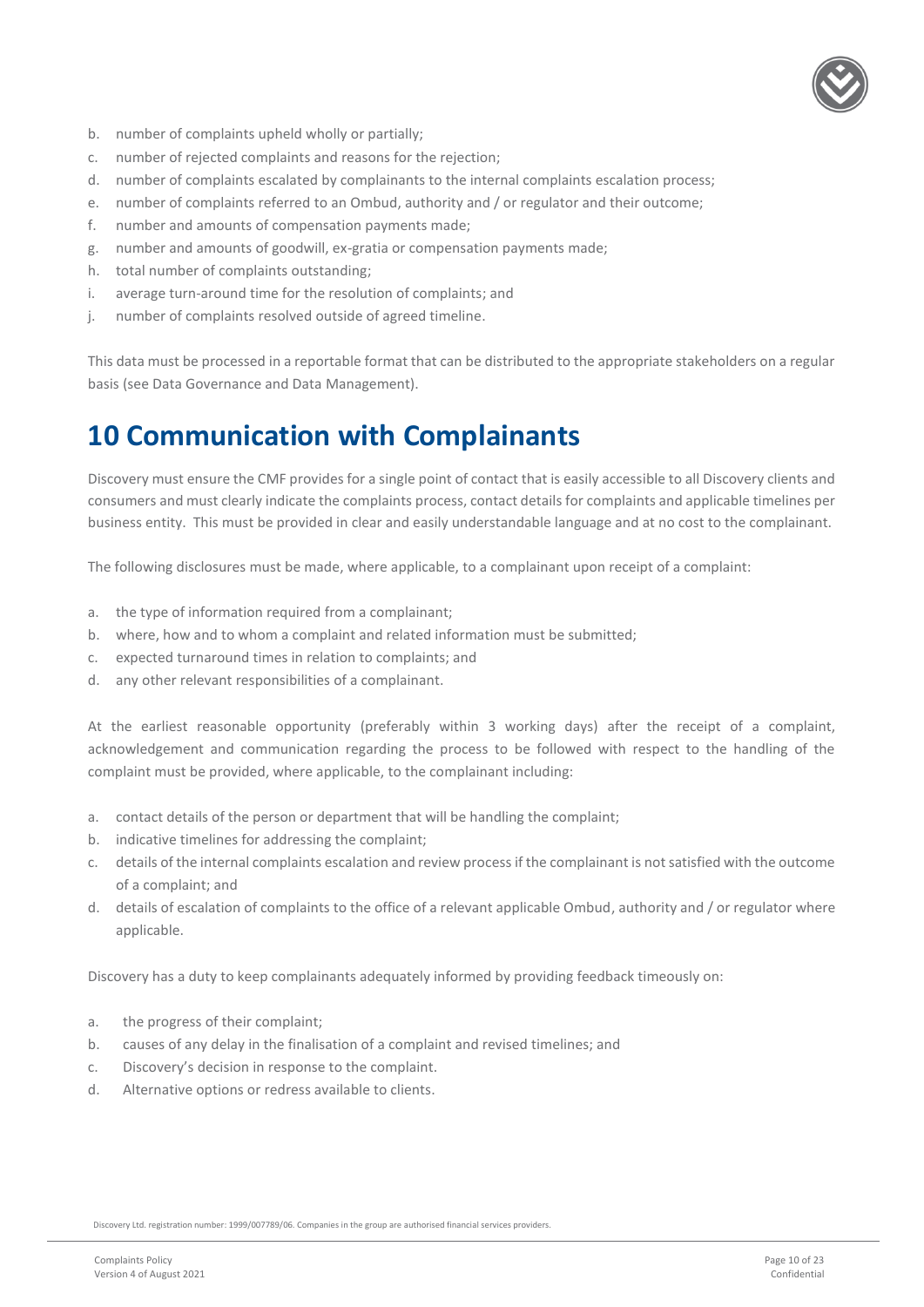

- b. number of complaints upheld wholly or partially;
- c. number of rejected complaints and reasons for the rejection;
- d. number of complaints escalated by complainants to the internal complaints escalation process;
- e. number of complaints referred to an Ombud, authority and / or regulator and their outcome;
- f. number and amounts of compensation payments made;
- g. number and amounts of goodwill, ex-gratia or compensation payments made;
- h. total number of complaints outstanding;
- i. average turn-around time for the resolution of complaints; and
- j. number of complaints resolved outside of agreed timeline.

This data must be processed in a reportable format that can be distributed to the appropriate stakeholders on a regular basis (see Data Governance and Data Management).

### <span id="page-9-0"></span>**10 Communication with Complainants**

Discovery must ensure the CMF provides for a single point of contact that is easily accessible to all Discovery clients and consumers and must clearly indicate the complaints process, contact details for complaints and applicable timelines per business entity. This must be provided in clear and easily understandable language and at no cost to the complainant.

The following disclosures must be made, where applicable, to a complainant upon receipt of a complaint:

- a. the type of information required from a complainant;
- b. where, how and to whom a complaint and related information must be submitted;
- c. expected turnaround times in relation to complaints; and
- d. any other relevant responsibilities of a complainant.

At the earliest reasonable opportunity (preferably within 3 working days) after the receipt of a complaint, acknowledgement and communication regarding the process to be followed with respect to the handling of the complaint must be provided, where applicable, to the complainant including:

- a. contact details of the person or department that will be handling the complaint;
- b. indicative timelines for addressing the complaint;
- c. details of the internal complaints escalation and review process if the complainant is not satisfied with the outcome of a complaint; and
- d. details of escalation of complaints to the office of a relevant applicable Ombud, authority and / or regulator where applicable.

Discovery has a duty to keep complainants adequately informed by providing feedback timeously on:

- a. the progress of their complaint;
- b. causes of any delay in the finalisation of a complaint and revised timelines; and
- c. Discovery's decision in response to the complaint.
- <span id="page-9-1"></span>d. Alternative options or redress available to clients.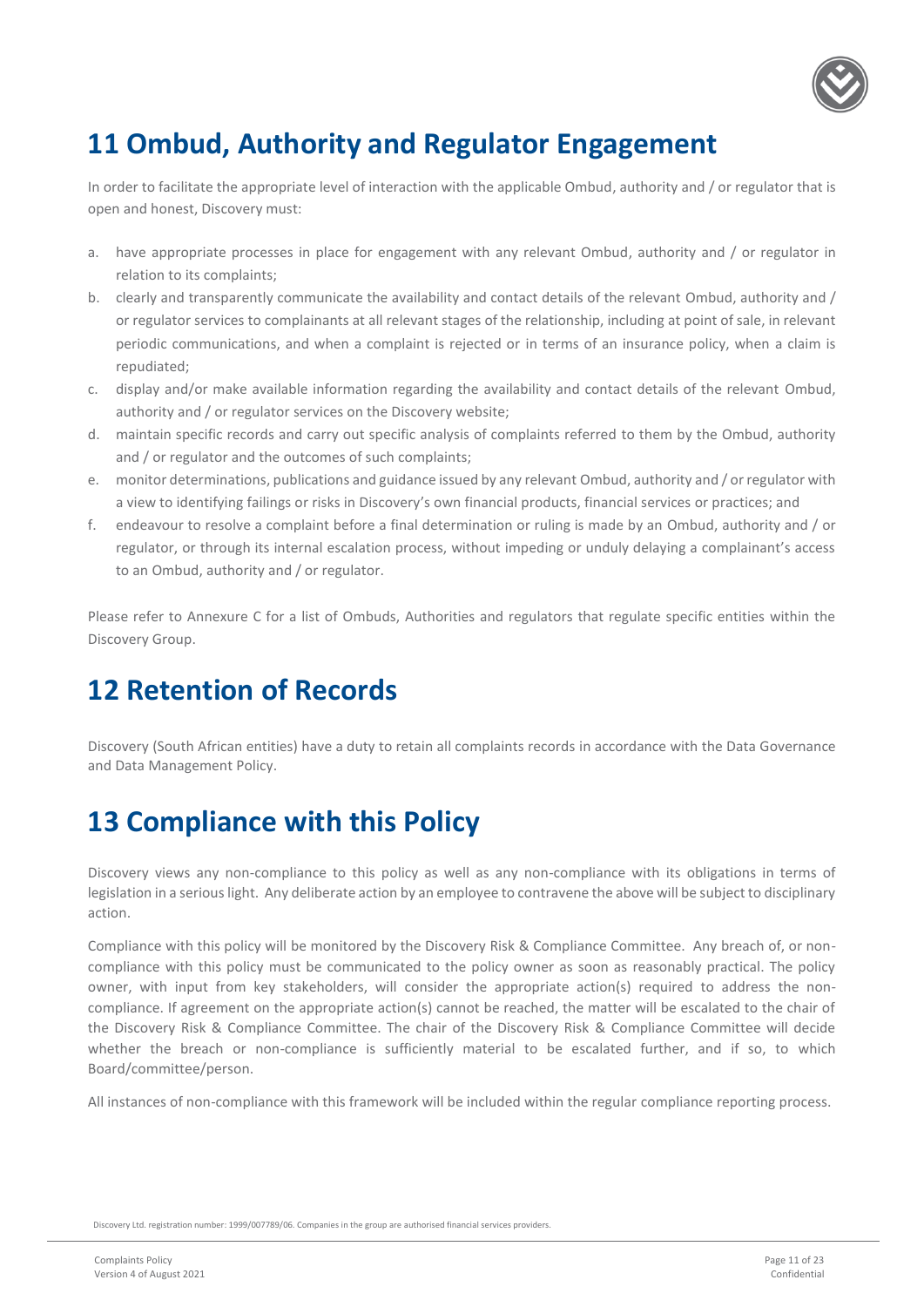

### **11 Ombud, Authority and Regulator Engagement**

In order to facilitate the appropriate level of interaction with the applicable Ombud, authority and / or regulator that is open and honest, Discovery must:

- a. have appropriate processes in place for engagement with any relevant Ombud, authority and / or regulator in relation to its complaints;
- b. clearly and transparently communicate the availability and contact details of the relevant Ombud, authority and / or regulator services to complainants at all relevant stages of the relationship, including at point of sale, in relevant periodic communications, and when a complaint is rejected or in terms of an insurance policy, when a claim is repudiated;
- c. display and/or make available information regarding the availability and contact details of the relevant Ombud, authority and / or regulator services on the Discovery website;
- d. maintain specific records and carry out specific analysis of complaints referred to them by the Ombud, authority and / or regulator and the outcomes of such complaints;
- e. monitor determinations, publications and guidance issued by any relevant Ombud, authority and / or regulator with a view to identifying failings or risks in Discovery's own financial products, financial services or practices; and
- f. endeavour to resolve a complaint before a final determination or ruling is made by an Ombud, authority and / or regulator, or through its internal escalation process, without impeding or unduly delaying a complainant's access to an Ombud, authority and / or regulator.

Please refer to Annexure C for a list of Ombuds, Authorities and regulators that regulate specific entities within the Discovery Group.

### <span id="page-10-0"></span>**12 Retention of Records**

Discovery (South African entities) have a duty to retain all complaints records in accordance with the Data Governance and Data Management Policy.

### <span id="page-10-1"></span>**13 Compliance with this Policy**

Discovery views any non-compliance to this policy as well as any non-compliance with its obligations in terms of legislation in a serious light. Any deliberate action by an employee to contravene the above will be subject to disciplinary action.

Compliance with this policy will be monitored by the Discovery Risk & Compliance Committee. Any breach of, or noncompliance with this policy must be communicated to the policy owner as soon as reasonably practical. The policy owner, with input from key stakeholders, will consider the appropriate action(s) required to address the noncompliance. If agreement on the appropriate action(s) cannot be reached, the matter will be escalated to the chair of the Discovery Risk & Compliance Committee. The chair of the Discovery Risk & Compliance Committee will decide whether the breach or non-compliance is sufficiently material to be escalated further, and if so, to which Board/committee/person.

All instances of non-compliance with this framework will be included within the regular compliance reporting process.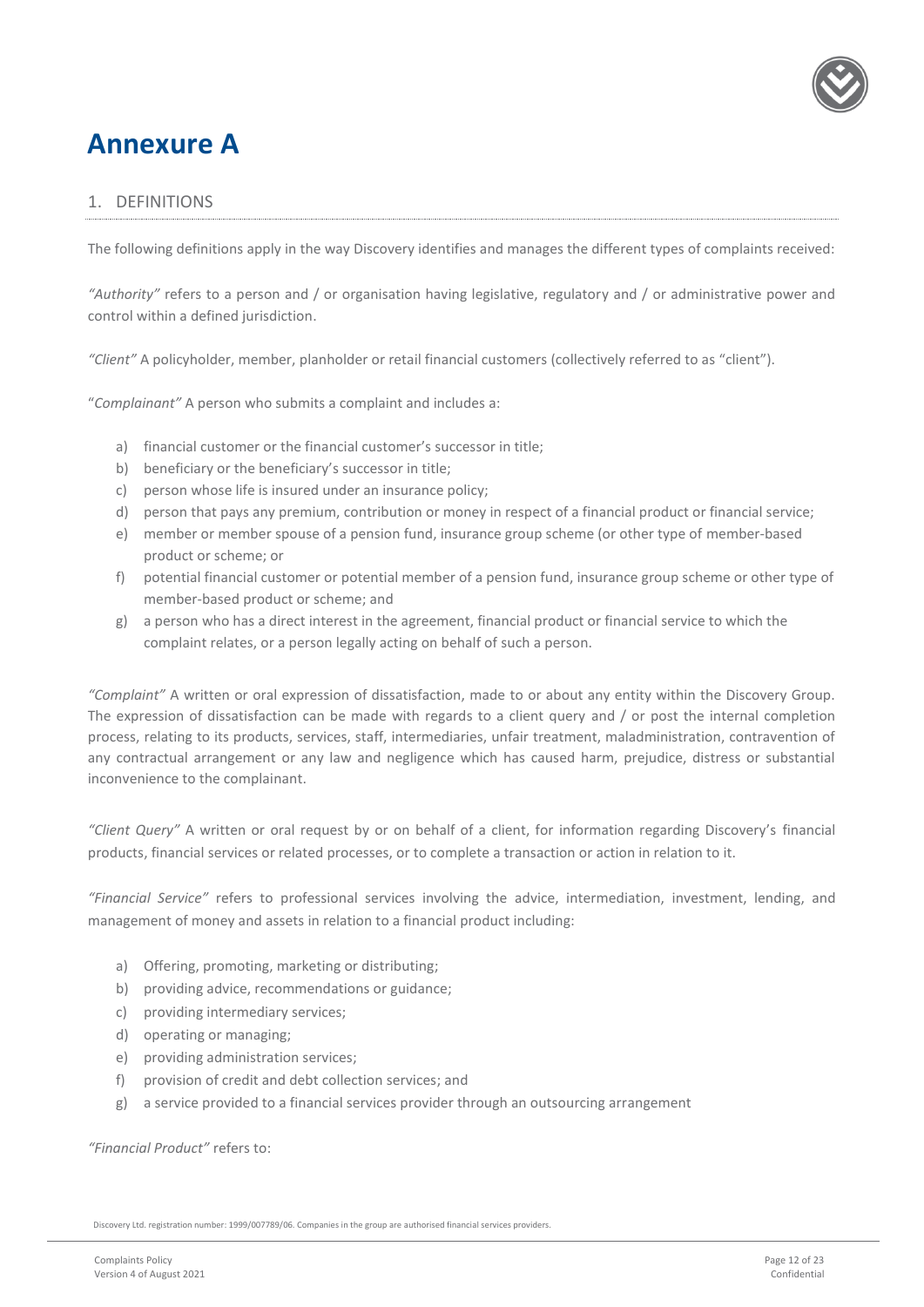

### <span id="page-11-0"></span>**Annexure A**

#### <span id="page-11-1"></span>1. DEFINITIONS

The following definitions apply in the way Discovery identifies and manages the different types of complaints received:

*"Authority"* refers to a person and / or organisation having legislative, regulatory and / or administrative power and control within a defined jurisdiction.

*"Client"* A policyholder, member, planholder or retail financial customers (collectively referred to as "client").

"*Complainant"* A person who submits a complaint and includes a:

- a) financial customer or the financial customer's successor in title;
- b) beneficiary or the beneficiary's successor in title;
- c) person whose life is insured under an insurance policy;
- d) person that pays any premium, contribution or money in respect of a financial product or financial service;
- e) member or member spouse of a pension fund, insurance group scheme (or other type of member-based product or scheme; or
- f) potential financial customer or potential member of a pension fund, insurance group scheme or other type of member-based product or scheme; and
- g) a person who has a direct interest in the agreement, financial product or financial service to which the complaint relates, or a person legally acting on behalf of such a person.

*"Complaint"* A written or oral expression of dissatisfaction, made to or about any entity within the Discovery Group. The expression of dissatisfaction can be made with regards to a client query and / or post the internal completion process, relating to its products, services, staff, intermediaries, unfair treatment, maladministration, contravention of any contractual arrangement or any law and negligence which has caused harm, prejudice, distress or substantial inconvenience to the complainant.

*"Client Query"* A written or oral request by or on behalf of a client, for information regarding Discovery's financial products, financial services or related processes, or to complete a transaction or action in relation to it.

*"Financial Service"* refers to professional services involving the advice, intermediation, investment, lending, and management of money and assets in relation to a financial product including:

- a) Offering, promoting, marketing or distributing;
- b) providing advice, recommendations or guidance;
- c) providing intermediary services;
- d) operating or managing;
- e) providing administration services;
- f) provision of credit and debt collection services; and
- g) a service provided to a financial services provider through an outsourcing arrangement

*"Financial Product"* refers to: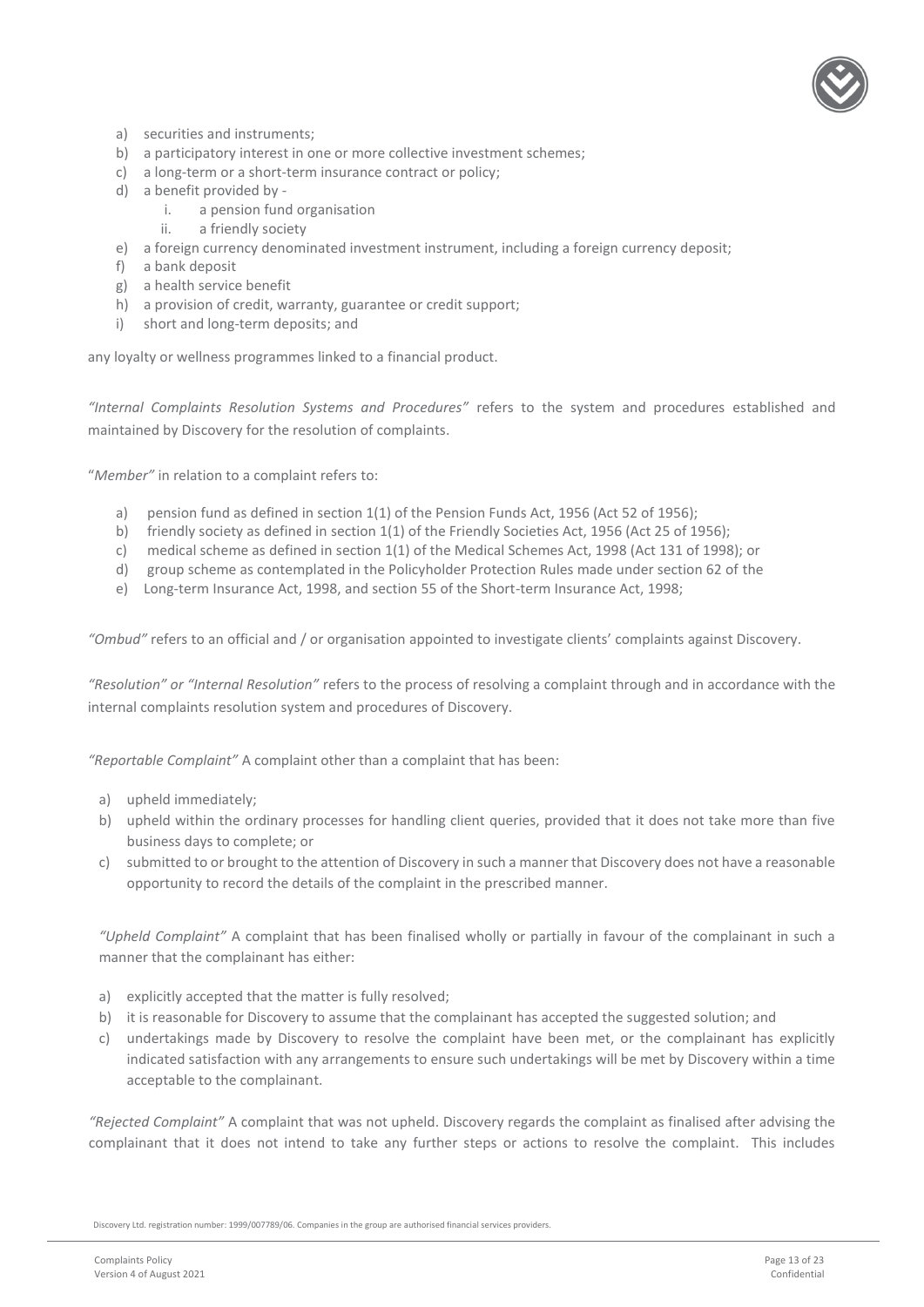

- a) securities and instruments;
- b) a participatory interest in one or more collective investment schemes;
- c) a long-term or a short-term insurance contract or policy;
- d) a benefit provided by
	- i. a pension fund organisation
	- ii. a friendly society
- e) a foreign currency denominated investment instrument, including a foreign currency deposit;
- f) a bank deposit
- g) a health service benefit
- h) a provision of credit, warranty, guarantee or credit support;
- i) short and long-term deposits; and

any loyalty or wellness programmes linked to a financial product.

*"Internal Complaints Resolution Systems and Procedures"* refers to the system and procedures established and maintained by Discovery for the resolution of complaints.

"*Member"* in relation to a complaint refers to:

- a) pension fund as defined in section 1(1) of the Pension Funds Act, 1956 (Act 52 of 1956);
- b) friendly society as defined in section 1(1) of the Friendly Societies Act, 1956 (Act 25 of 1956);
- c) medical scheme as defined in section 1(1) of the Medical Schemes Act, 1998 (Act 131 of 1998); or
- d) group scheme as contemplated in the Policyholder Protection Rules made under section 62 of the
- e) Long-term Insurance Act, 1998, and section 55 of the Short-term Insurance Act, 1998;

*"Ombud"* refers to an official and / or organisation appointed to investigate clients' complaints against Discovery.

*"Resolution" or "Internal Resolution"* refers to the process of resolving a complaint through and in accordance with the internal complaints resolution system and procedures of Discovery.

*"Reportable Complaint"* A complaint other than a complaint that has been:

- a) upheld immediately;
- b) upheld within the ordinary processes for handling client queries, provided that it does not take more than five business days to complete; or
- c) submitted to or brought to the attention of Discovery in such a manner that Discovery does not have a reasonable opportunity to record the details of the complaint in the prescribed manner.

*"Upheld Complaint"* A complaint that has been finalised wholly or partially in favour of the complainant in such a manner that the complainant has either:

- a) explicitly accepted that the matter is fully resolved;
- b) it is reasonable for Discovery to assume that the complainant has accepted the suggested solution; and
- c) undertakings made by Discovery to resolve the complaint have been met, or the complainant has explicitly indicated satisfaction with any arrangements to ensure such undertakings will be met by Discovery within a time acceptable to the complainant.

*"Rejected Complaint"* A complaint that was not upheld. Discovery regards the complaint as finalised after advising the complainant that it does not intend to take any further steps or actions to resolve the complaint. This includes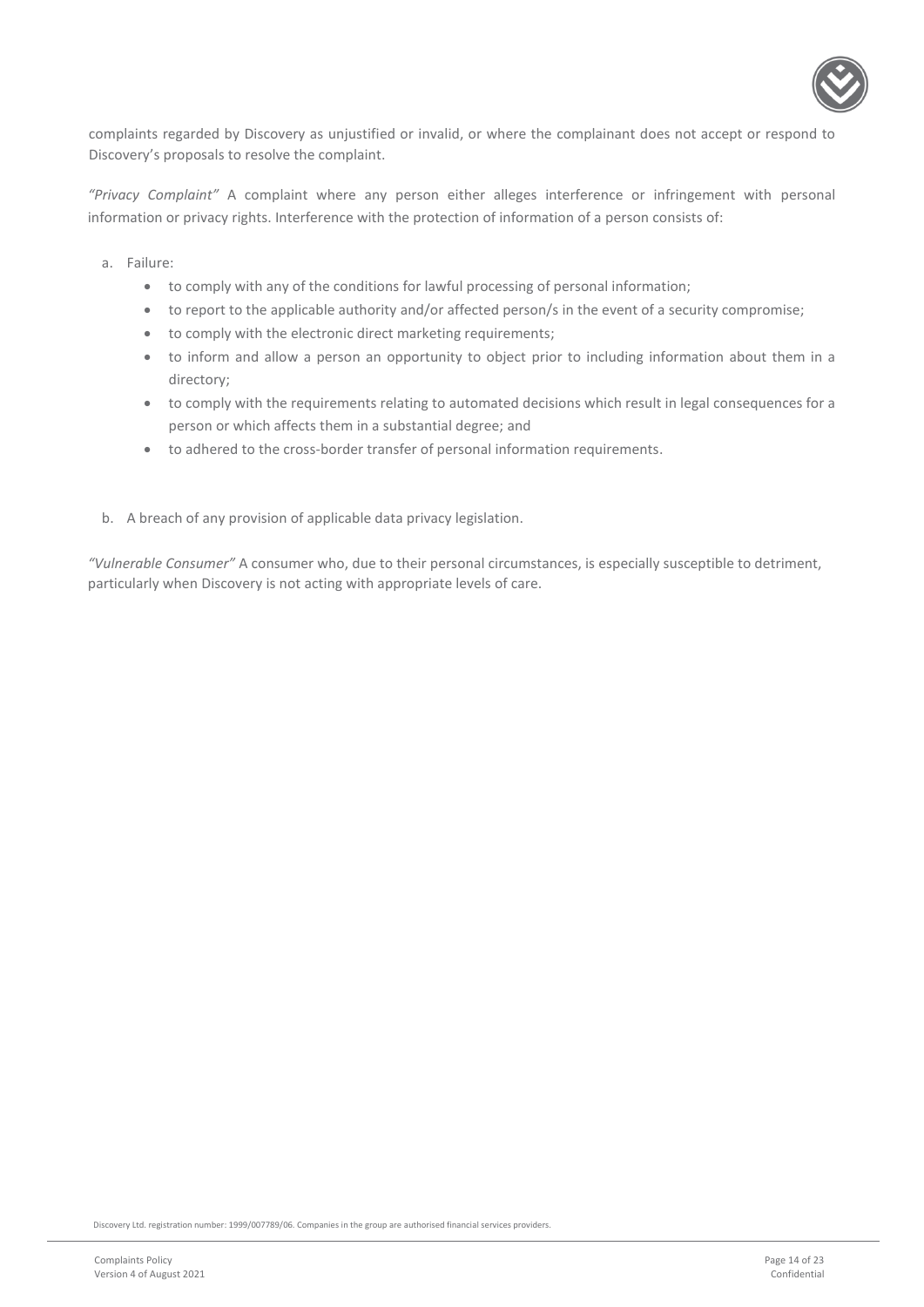

complaints regarded by Discovery as unjustified or invalid, or where the complainant does not accept or respond to Discovery's proposals to resolve the complaint.

*"Privacy Complaint"* A complaint where any person either alleges interference or infringement with personal information or privacy rights. Interference with the protection of information of a person consists of:

- a. Failure:
	- to comply with any of the conditions for lawful processing of personal information;
	- to report to the applicable authority and/or affected person/s in the event of a security compromise;
	- to comply with the electronic direct marketing requirements;
	- to inform and allow a person an opportunity to object prior to including information about them in a directory;
	- to comply with the requirements relating to automated decisions which result in legal consequences for a person or which affects them in a substantial degree; and
	- to adhered to the cross-border transfer of personal information requirements.
- b. A breach of any provision of applicable data privacy legislation.

*"Vulnerable Consumer"* A consumer who, due to their personal circumstances, is especially susceptible to detriment, particularly when Discovery is not acting with appropriate levels of care.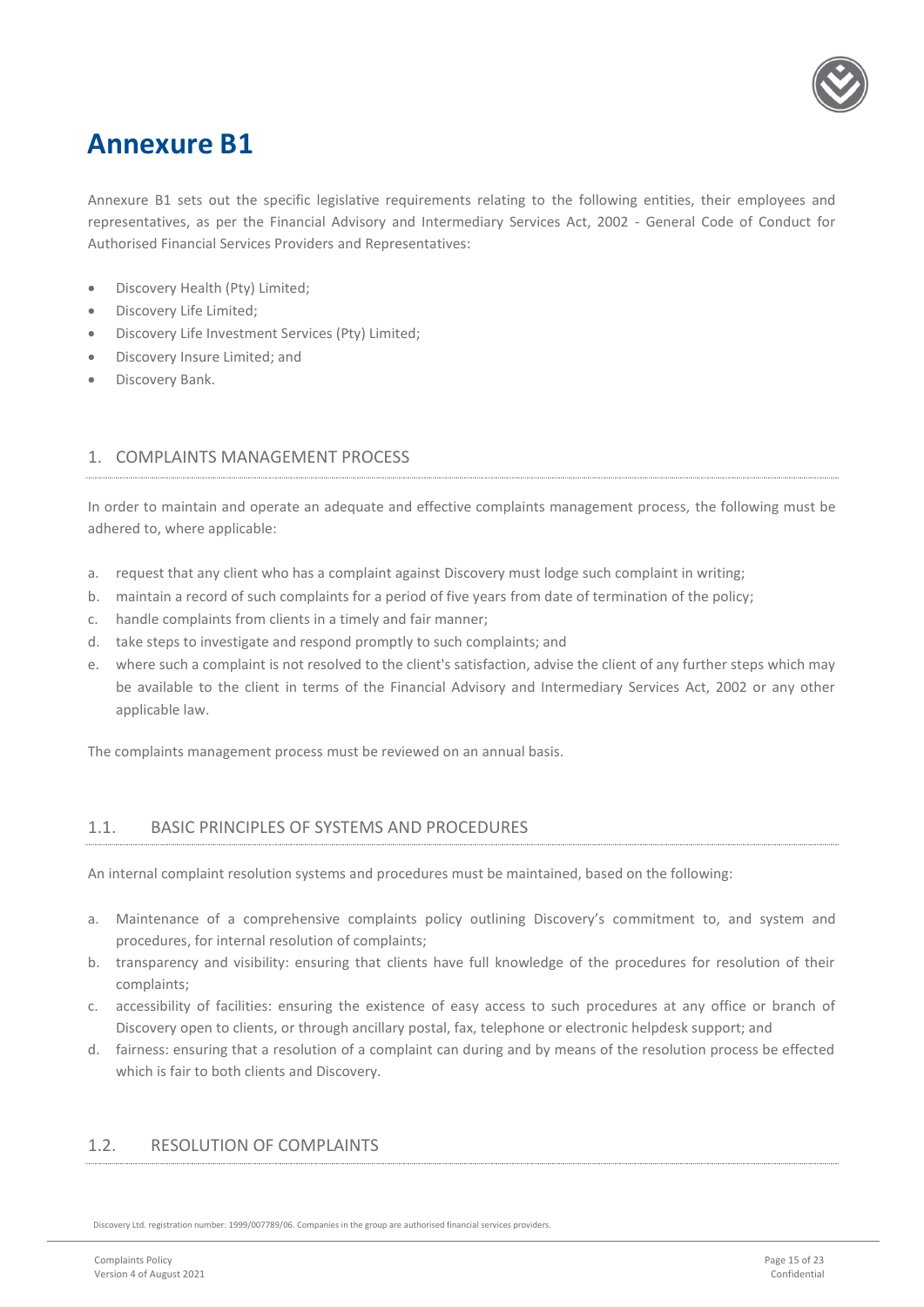

### <span id="page-14-0"></span>**Annexure B1**

Annexure B1 sets out the specific legislative requirements relating to the following entities, their employees and representatives, as per the Financial Advisory and Intermediary Services Act, 2002 - General Code of Conduct for Authorised Financial Services Providers and Representatives:

- Discovery Health (Pty) Limited;
- Discovery Life Limited;
- Discovery Life Investment Services (Pty) Limited;
- Discovery Insure Limited; and
- Discovery Bank.

#### <span id="page-14-1"></span>1. COMPLAINTS MANAGEMENT PROCESS

In order to maintain and operate an adequate and effective complaints management process, the following must be adhered to, where applicable:

- a. request that any client who has a complaint against Discovery must lodge such complaint in writing;
- b. maintain a record of such complaints for a period of five years from date of termination of the policy;
- c. handle complaints from clients in a timely and fair manner;
- d. take steps to investigate and respond promptly to such complaints; and
- e. where such a complaint is not resolved to the client's satisfaction, advise the client of any further steps which may be available to the client in terms of the Financial Advisory and Intermediary Services Act, 2002 or any other applicable law.

The complaints management process must be reviewed on an annual basis.

#### <span id="page-14-2"></span>1.1. BASIC PRINCIPLES OF SYSTEMS AND PROCEDURES

An internal complaint resolution systems and procedures must be maintained, based on the following:

- a. Maintenance of a comprehensive complaints policy outlining Discovery's commitment to, and system and procedures, for internal resolution of complaints;
- b. transparency and visibility: ensuring that clients have full knowledge of the procedures for resolution of their complaints;
- c. accessibility of facilities: ensuring the existence of easy access to such procedures at any office or branch of Discovery open to clients, or through ancillary postal, fax, telephone or electronic helpdesk support; and
- d. fairness: ensuring that a resolution of a complaint can during and by means of the resolution process be effected which is fair to both clients and Discovery.

#### <span id="page-14-3"></span>1.2. RESOLUTION OF COMPLAINTS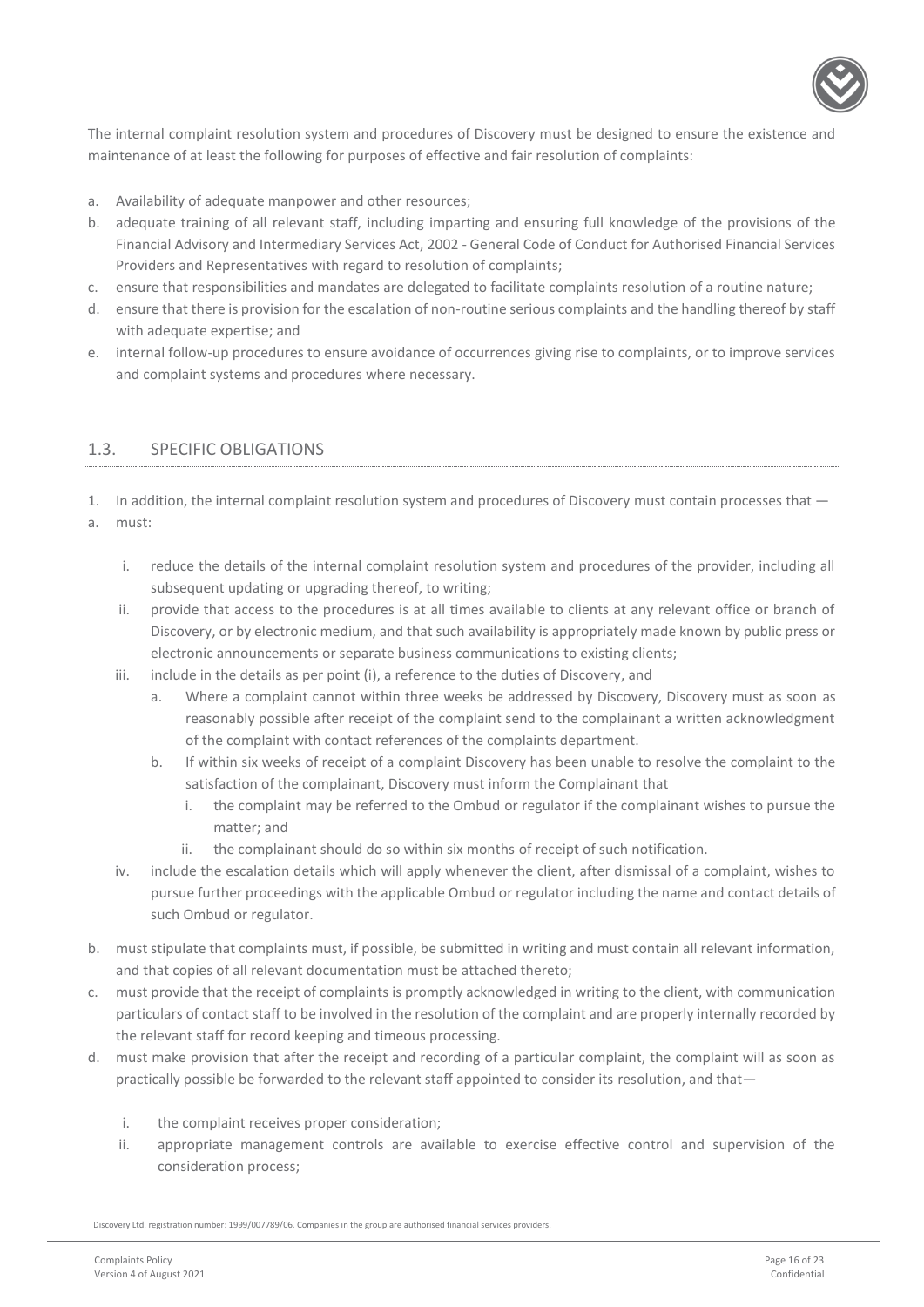

The internal complaint resolution system and procedures of Discovery must be designed to ensure the existence and maintenance of at least the following for purposes of effective and fair resolution of complaints:

- a. Availability of adequate manpower and other resources;
- b. adequate training of all relevant staff, including imparting and ensuring full knowledge of the provisions of the Financial Advisory and Intermediary Services Act, 2002 - General Code of Conduct for Authorised Financial Services Providers and Representatives with regard to resolution of complaints;
- c. ensure that responsibilities and mandates are delegated to facilitate complaints resolution of a routine nature;
- d. ensure that there is provision for the escalation of non-routine serious complaints and the handling thereof by staff with adequate expertise; and
- e. internal follow-up procedures to ensure avoidance of occurrences giving rise to complaints, or to improve services and complaint systems and procedures where necessary.

#### <span id="page-15-0"></span>1.3. SPECIFIC OBLIGATIONS

1. In addition, the internal complaint resolution system and procedures of Discovery must contain processes that  $-$ 

- a. must:
	- i. reduce the details of the internal complaint resolution system and procedures of the provider, including all subsequent updating or upgrading thereof, to writing;
	- ii. provide that access to the procedures is at all times available to clients at any relevant office or branch of Discovery, or by electronic medium, and that such availability is appropriately made known by public press or electronic announcements or separate business communications to existing clients;
	- iii. include in the details as per point (i), a reference to the duties of Discovery, and
		- a. Where a complaint cannot within three weeks be addressed by Discovery, Discovery must as soon as reasonably possible after receipt of the complaint send to the complainant a written acknowledgment of the complaint with contact references of the complaints department.
		- b. If within six weeks of receipt of a complaint Discovery has been unable to resolve the complaint to the satisfaction of the complainant, Discovery must inform the Complainant that
			- i. the complaint may be referred to the Ombud or regulator if the complainant wishes to pursue the matter; and
			- ii. the complainant should do so within six months of receipt of such notification.
	- iv. include the escalation details which will apply whenever the client, after dismissal of a complaint, wishes to pursue further proceedings with the applicable Ombud or regulator including the name and contact details of such Ombud or regulator.
- b. must stipulate that complaints must, if possible, be submitted in writing and must contain all relevant information, and that copies of all relevant documentation must be attached thereto;
- c. must provide that the receipt of complaints is promptly acknowledged in writing to the client, with communication particulars of contact staff to be involved in the resolution of the complaint and are properly internally recorded by the relevant staff for record keeping and timeous processing.
- d. must make provision that after the receipt and recording of a particular complaint, the complaint will as soon as practically possible be forwarded to the relevant staff appointed to consider its resolution, and that
	- i. the complaint receives proper consideration;
	- ii. appropriate management controls are available to exercise effective control and supervision of the consideration process;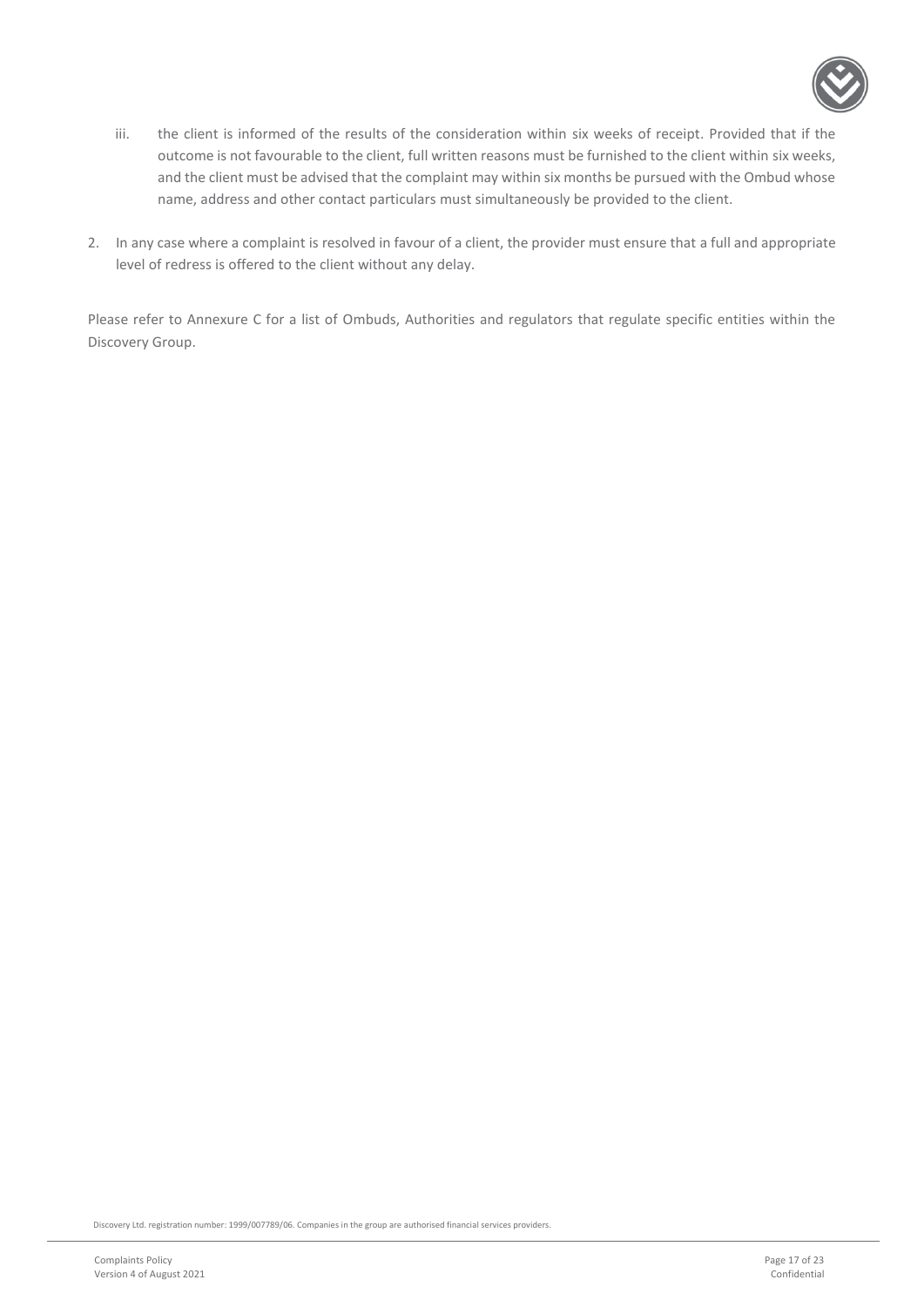

- iii. the client is informed of the results of the consideration within six weeks of receipt. Provided that if the outcome is not favourable to the client, full written reasons must be furnished to the client within six weeks, and the client must be advised that the complaint may within six months be pursued with the Ombud whose name, address and other contact particulars must simultaneously be provided to the client.
- 2. In any case where a complaint is resolved in favour of a client, the provider must ensure that a full and appropriate level of redress is offered to the client without any delay.

Please refer to Annexure C for a list of Ombuds, Authorities and regulators that regulate specific entities within the Discovery Group.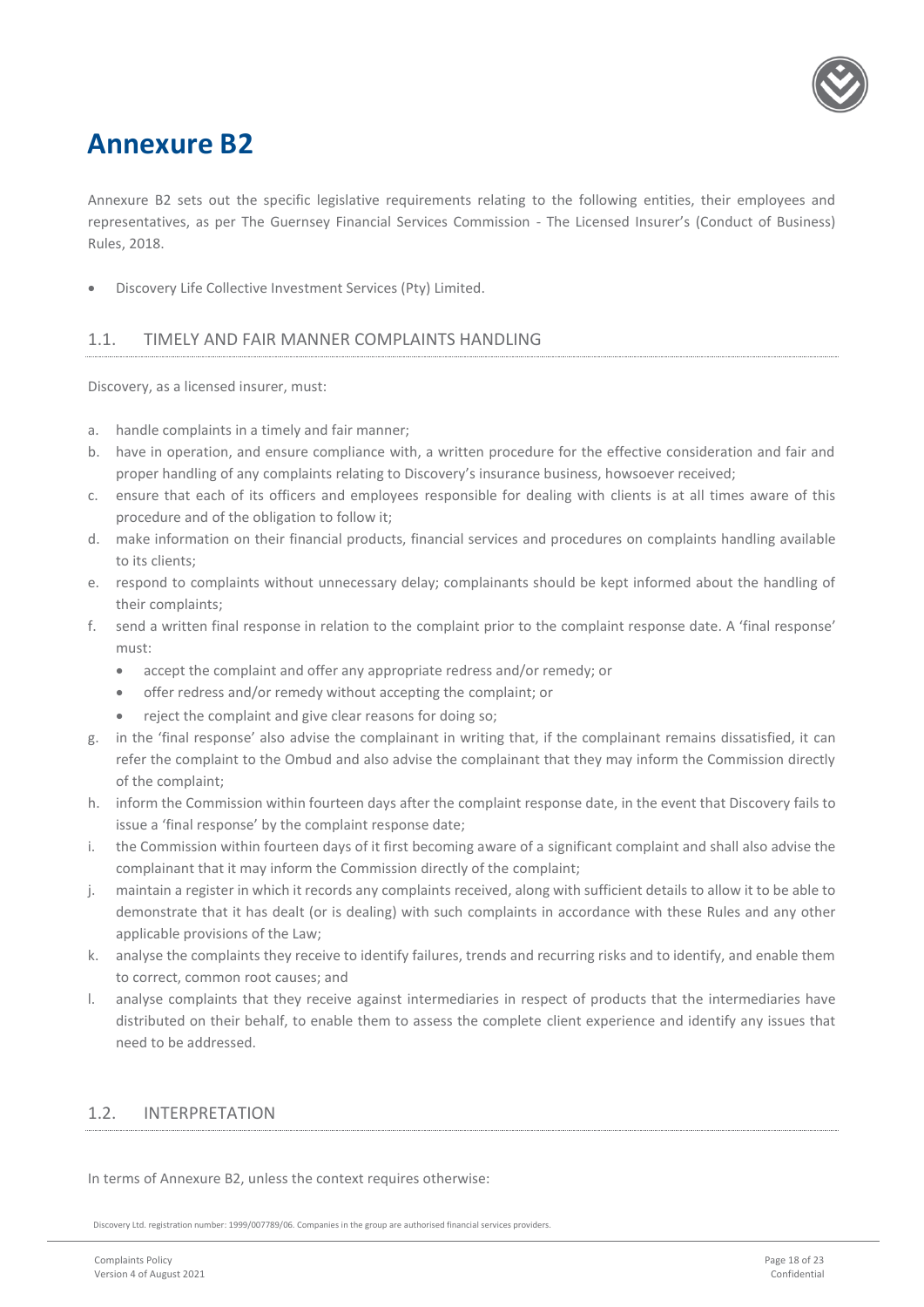

### <span id="page-17-0"></span>**Annexure B2**

Annexure B2 sets out the specific legislative requirements relating to the following entities, their employees and representatives, as per The Guernsey Financial Services Commission - The Licensed Insurer's (Conduct of Business) Rules, 2018.

<span id="page-17-1"></span>• Discovery Life Collective Investment Services (Pty) Limited.

#### 1.1. TIMELY AND FAIR MANNER COMPLAINTS HANDLING

Discovery, as a licensed insurer, must:

- a. handle complaints in a timely and fair manner;
- b. have in operation, and ensure compliance with, a written procedure for the effective consideration and fair and proper handling of any complaints relating to Discovery's insurance business, howsoever received;
- c. ensure that each of its officers and employees responsible for dealing with clients is at all times aware of this procedure and of the obligation to follow it;
- d. make information on their financial products, financial services and procedures on complaints handling available to its clients;
- e. respond to complaints without unnecessary delay; complainants should be kept informed about the handling of their complaints;
- f. send a written final response in relation to the complaint prior to the complaint response date. A 'final response' must:
	- accept the complaint and offer any appropriate redress and/or remedy; or
	- offer redress and/or remedy without accepting the complaint; or
	- reject the complaint and give clear reasons for doing so;
- g. in the 'final response' also advise the complainant in writing that, if the complainant remains dissatisfied, it can refer the complaint to the Ombud and also advise the complainant that they may inform the Commission directly of the complaint;
- h. inform the Commission within fourteen days after the complaint response date, in the event that Discovery fails to issue a 'final response' by the complaint response date;
- i. the Commission within fourteen days of it first becoming aware of a significant complaint and shall also advise the complainant that it may inform the Commission directly of the complaint;
- j. maintain a register in which it records any complaints received, along with sufficient details to allow it to be able to demonstrate that it has dealt (or is dealing) with such complaints in accordance with these Rules and any other applicable provisions of the Law;
- k. analyse the complaints they receive to identify failures, trends and recurring risks and to identify, and enable them to correct, common root causes; and
- l. analyse complaints that they receive against intermediaries in respect of products that the intermediaries have distributed on their behalf, to enable them to assess the complete client experience and identify any issues that need to be addressed.

#### <span id="page-17-2"></span>1.2. INTERPRETATION

In terms of Annexure B2, unless the context requires otherwise: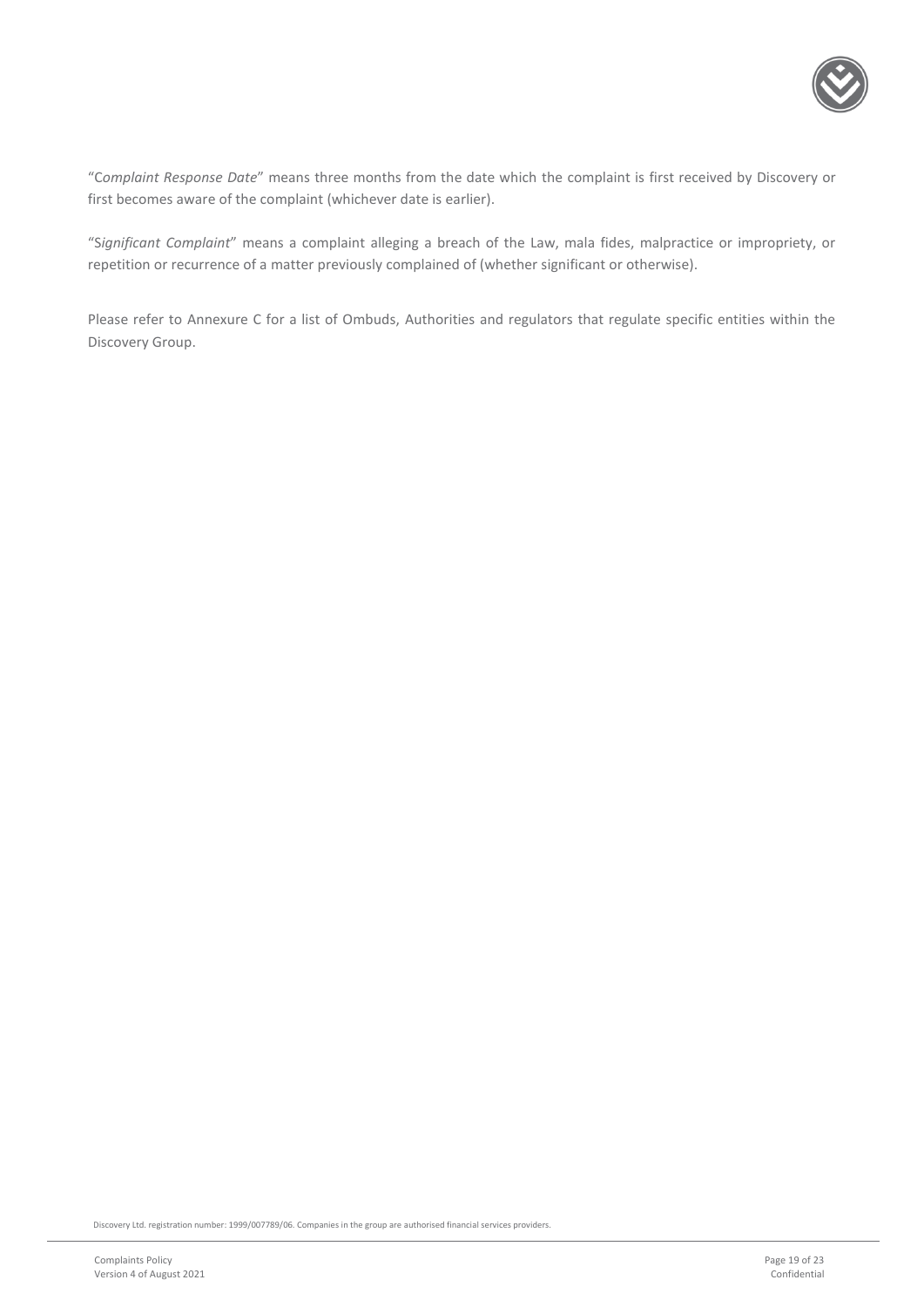

"C*omplaint Response Date*" means three months from the date which the complaint is first received by Discovery or first becomes aware of the complaint (whichever date is earlier).

"S*ignificant Complaint*" means a complaint alleging a breach of the Law, mala fides, malpractice or impropriety, or repetition or recurrence of a matter previously complained of (whether significant or otherwise).

Please refer to Annexure C for a list of Ombuds, Authorities and regulators that regulate specific entities within the Discovery Group.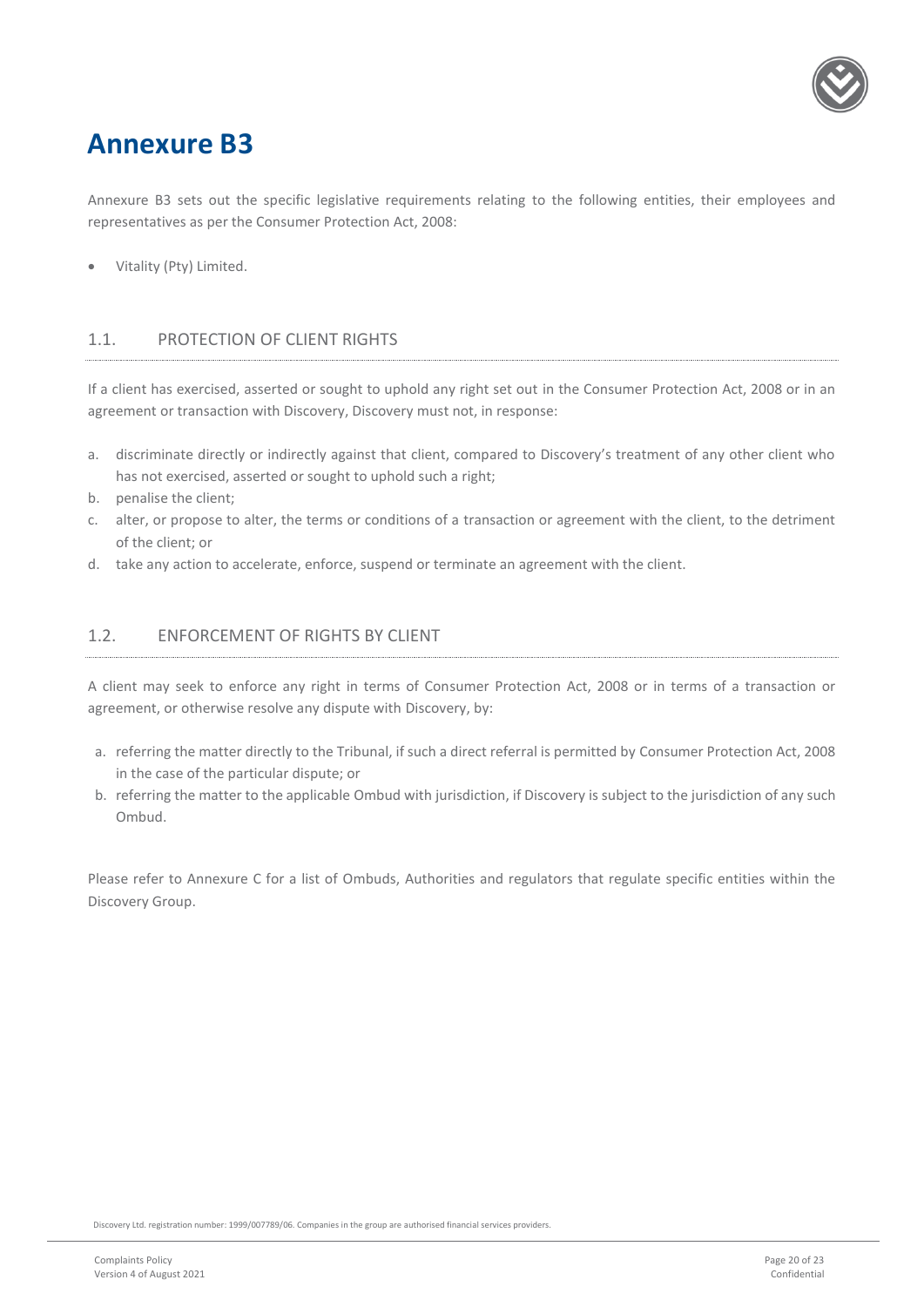

### <span id="page-19-0"></span>**Annexure B3**

Annexure B3 sets out the specific legislative requirements relating to the following entities, their employees and representatives as per the Consumer Protection Act, 2008:

• Vitality (Pty) Limited.

#### <span id="page-19-1"></span>1.1. PROTECTION OF CLIENT RIGHTS

If a client has exercised, asserted or sought to uphold any right set out in the Consumer Protection Act, 2008 or in an agreement or transaction with Discovery, Discovery must not, in response:

- a. discriminate directly or indirectly against that client, compared to Discovery's treatment of any other client who has not exercised, asserted or sought to uphold such a right;
- b. penalise the client;
- c. alter, or propose to alter, the terms or conditions of a transaction or agreement with the client, to the detriment of the client; or
- d. take any action to accelerate, enforce, suspend or terminate an agreement with the client.

#### <span id="page-19-2"></span>1.2. ENFORCEMENT OF RIGHTS BY CLIENT

A client may seek to enforce any right in terms of Consumer Protection Act, 2008 or in terms of a transaction or agreement, or otherwise resolve any dispute with Discovery, by:

- a. referring the matter directly to the Tribunal, if such a direct referral is permitted by Consumer Protection Act, 2008 in the case of the particular dispute; or
- b. referring the matter to the applicable Ombud with jurisdiction, if Discovery is subject to the jurisdiction of any such Ombud.

Please refer to Annexure C for a list of Ombuds, Authorities and regulators that regulate specific entities within the Discovery Group.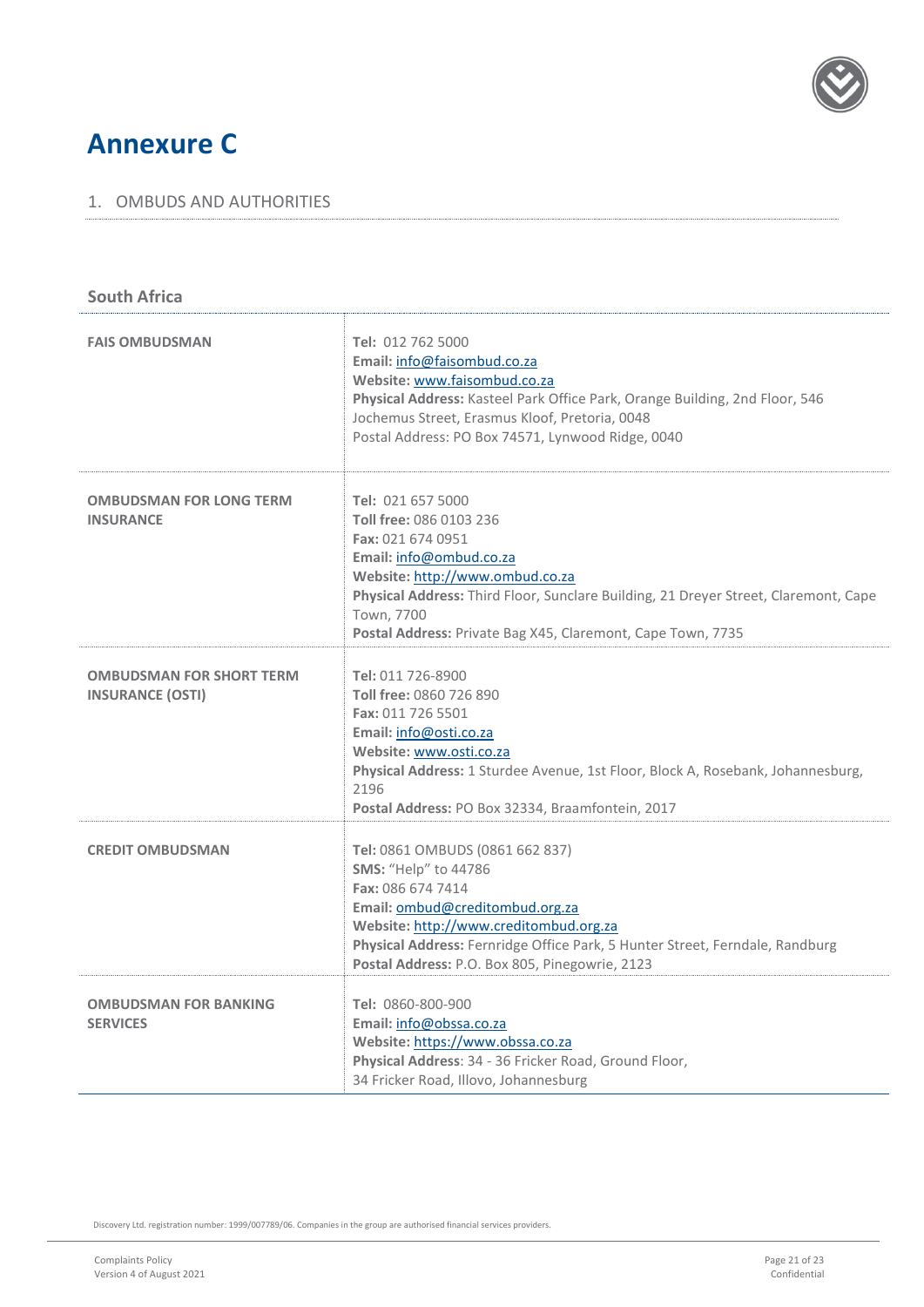

### <span id="page-20-0"></span>**Annexure C**

#### <span id="page-20-1"></span>1. OMBUDS AND AUTHORITIES

| <b>South Africa</b>                                        |                                                                                                                                                                                                                                                                                                     |  |  |  |
|------------------------------------------------------------|-----------------------------------------------------------------------------------------------------------------------------------------------------------------------------------------------------------------------------------------------------------------------------------------------------|--|--|--|
| <b>FAIS OMBUDSMAN</b>                                      | Tel: 012 762 5000<br>Email: info@faisombud.co.za<br>Website: www.faisombud.co.za<br>Physical Address: Kasteel Park Office Park, Orange Building, 2nd Floor, 546<br>Jochemus Street, Erasmus Kloof, Pretoria, 0048<br>Postal Address: PO Box 74571, Lynwood Ridge, 0040                              |  |  |  |
| <b>OMBUDSMAN FOR LONG TERM</b><br><b>INSURANCE</b>         | Tel: 021 657 5000<br>Toll free: 086 0103 236<br>Fax: 021 674 0951<br>Email: info@ombud.co.za<br>Website: http://www.ombud.co.za<br>Physical Address: Third Floor, Sunclare Building, 21 Dreyer Street, Claremont, Cape<br>Town, 7700<br>Postal Address: Private Bag X45, Claremont, Cape Town, 7735 |  |  |  |
| <b>OMBUDSMAN FOR SHORT TERM</b><br><b>INSURANCE (OSTI)</b> | Tel: 011 726-8900<br>Toll free: 0860 726 890<br>Fax: 011 726 5501<br>Email: info@osti.co.za<br>Website: www.osti.co.za<br>Physical Address: 1 Sturdee Avenue, 1st Floor, Block A, Rosebank, Johannesburg,<br>2196<br>Postal Address: PO Box 32334, Braamfontein, 2017                               |  |  |  |
| <b>CREDIT OMBUDSMAN</b>                                    | Tel: 0861 OMBUDS (0861 662 837)<br>SMS: "Help" to 44786<br>Fax: 086 674 7414<br>Email: ombud@creditombud.org.za<br>Website: http://www.creditombud.org.za<br>Physical Address: Fernridge Office Park, 5 Hunter Street, Ferndale, Randburg<br>Postal Address: P.O. Box 805, Pinegowrie, 2123         |  |  |  |
| <b>OMBUDSMAN FOR BANKING</b><br><b>SERVICES</b>            | Tel: 0860-800-900<br>Email: info@obssa.co.za<br>Website: https://www.obssa.co.za<br>Physical Address: 34 - 36 Fricker Road, Ground Floor,<br>34 Fricker Road, Illovo, Johannesburg                                                                                                                  |  |  |  |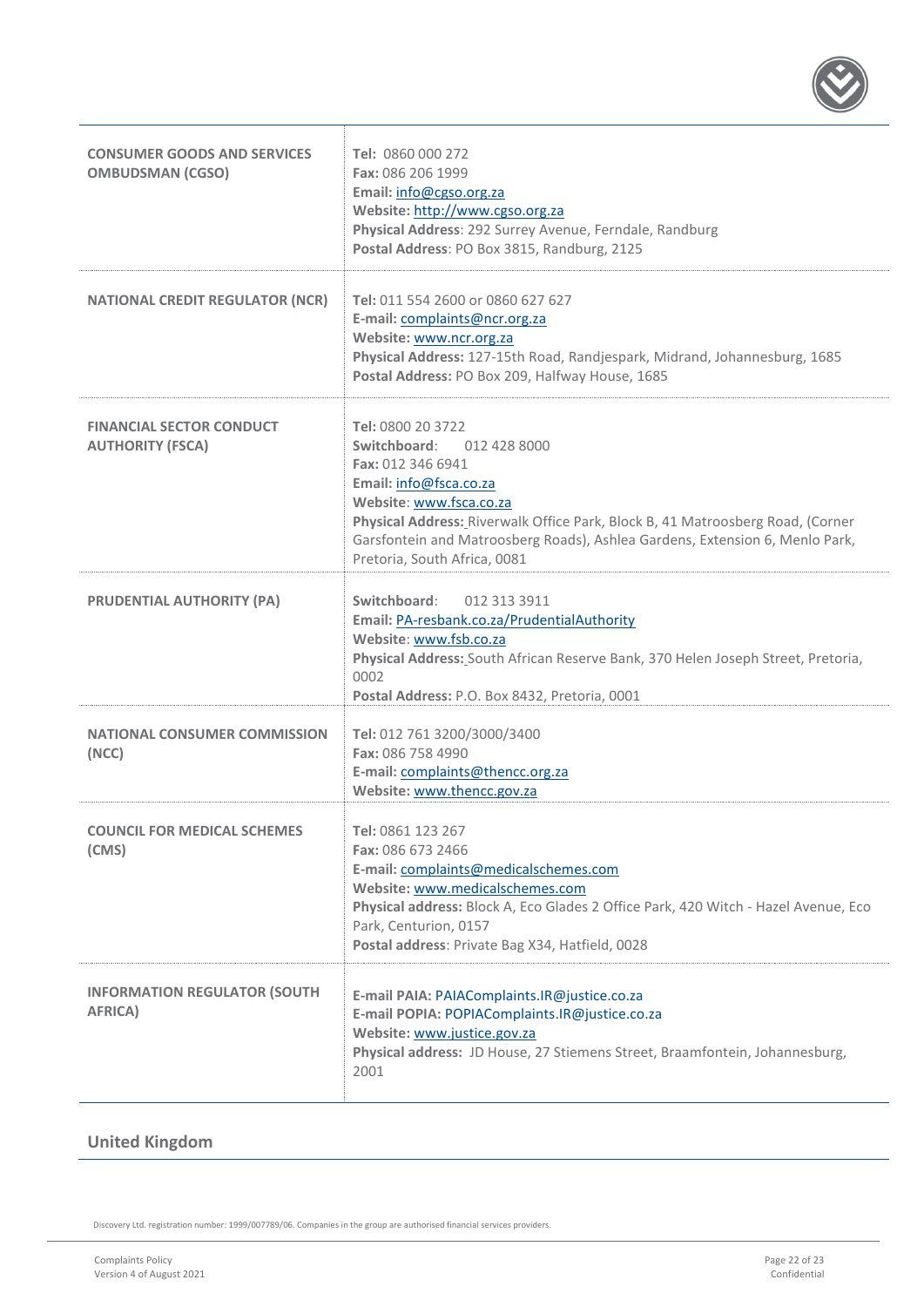

| <b>CONSUMER GOODS AND SERVICES</b><br><b>OMBUDSMAN (CGSO)</b> | Tel: 0860 000 272<br>Fax: 086 206 1999<br>Email: info@cgso.org.za<br>Website: http://www.cgso.org.za<br>Physical Address: 292 Surrey Avenue, Ferndale, Randburg<br>Postal Address: PO Box 3815, Randburg, 2125                                                                                                             |
|---------------------------------------------------------------|----------------------------------------------------------------------------------------------------------------------------------------------------------------------------------------------------------------------------------------------------------------------------------------------------------------------------|
| <b>NATIONAL CREDIT REGULATOR (NCR)</b>                        | Tel: 011 554 2600 or 0860 627 627<br>E-mail: complaints@ncr.org.za<br>Website: www.ncr.org.za<br>Physical Address: 127-15th Road, Randjespark, Midrand, Johannesburg, 1685<br>Postal Address: PO Box 209, Halfway House, 1685                                                                                              |
| <b>FINANCIAL SECTOR CONDUCT</b><br><b>AUTHORITY (FSCA)</b>    | Tel: 0800 20 3722<br>Switchboard: 012 428 8000<br>Fax: 012 346 6941<br>Email: info@fsca.co.za<br>Website: www.fsca.co.za<br>Physical Address: Riverwalk Office Park, Block B, 41 Matroosberg Road, (Corner<br>Garsfontein and Matroosberg Roads), Ashlea Gardens, Extension 6, Menlo Park,<br>Pretoria, South Africa, 0081 |
| <b>PRUDENTIAL AUTHORITY (PA)</b>                              | Switchboard:<br>012 313 3911<br>Email: PA-resbank.co.za/PrudentialAuthority<br>Website: www.fsb.co.za<br>Physical Address: South African Reserve Bank, 370 Helen Joseph Street, Pretoria,<br>0002<br>Postal Address: P.O. Box 8432, Pretoria, 0001                                                                         |
| <b>NATIONAL CONSUMER COMMISSION</b><br>(NCC)                  | Tel: 012 761 3200/3000/3400<br>Fax: 086 758 4990<br>E-mail: complaints@thencc.org.za<br>Website: www.thencc.gov.za                                                                                                                                                                                                         |
| <b>COUNCIL FOR MEDICAL SCHEMES</b><br>(CMS)                   | Tel: 0861 123 267<br>Fax: 086 673 2466<br>E-mail: complaints@medicalschemes.com<br>Website: www.medicalschemes.com<br>Physical address: Block A, Eco Glades 2 Office Park, 420 Witch - Hazel Avenue, Eco<br>Park, Centurion, 0157<br>Postal address: Private Bag X34, Hatfield, 0028                                       |
| <b>INFORMATION REGULATOR (SOUTH</b><br>AFRICA)                | E-mail PAIA: PAIAComplaints.IR@justice.co.za<br>E-mail POPIA: POPIAComplaints.IR@justice.co.za<br>Website: www.justice.gov.za<br>Physical address: JD House, 27 Stiemens Street, Braamfontein, Johannesburg,<br>2001                                                                                                       |

### **United Kingdom**